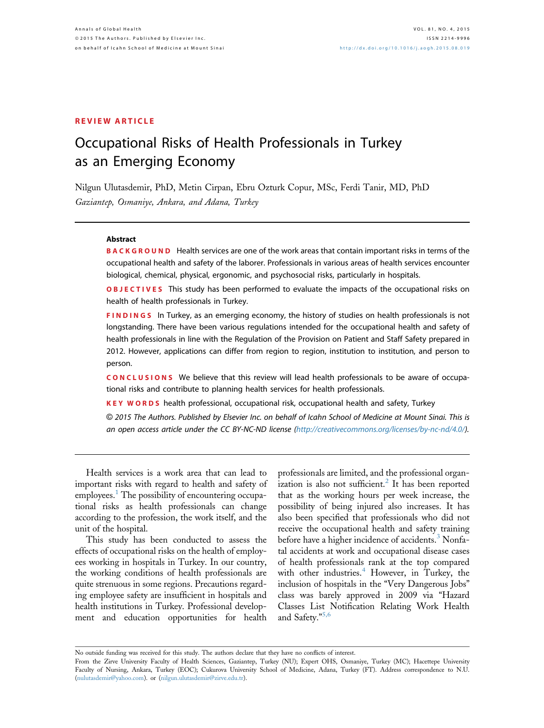## Occupational Risks of Health Professionals in Turkey as an Emerging Economy

Nilgun Ulutasdemir, PhD, Metin Cirpan, Ebru Ozturk Copur, MSc, Ferdi Tanir, MD, PhD Gaziantep, Osmaniye, Ankara, and Adana, Turkey

### **Abstract**

BACKGROUND Health services are one of the work areas that contain important risks in terms of the occupational health and safety of the laborer. Professionals in various areas of health services encounter biological, chemical, physical, ergonomic, and psychosocial risks, particularly in hospitals.

**OBJECTIVES** This study has been performed to evaluate the impacts of the occupational risks on health of health professionals in Turkey.

**FINDINGS** In Turkey, as an emerging economy, the history of studies on health professionals is not longstanding. There have been various regulations intended for the occupational health and safety of health professionals in line with the Regulation of the Provision on Patient and Staff Safety prepared in 2012. However, applications can differ from region to region, institution to institution, and person to person.

CONCLUSIONS We believe that this review will lead health professionals to be aware of occupational risks and contribute to planning health services for health professionals.

KEY WORDS health professional, occupational risk, occupational health and safety, Turkey

© 2015 The Authors. Published by Elsevier Inc. on behalf of Icahn School of Medicine at Mount Sinai. This is an open access article under the CC BY-NC-ND license ([http://creativecommons.org/licenses/by-nc-nd/4.0/](http://creativecommons.org/licenses/by-nc-nd/4.�0/)).

Health services is a work area that can lead to important risks with regard to health and safety of employees.<sup>[1](#page-4-0)</sup> The possibility of encountering occupational risks as health professionals can change according to the profession, the work itself, and the unit of the hospital.

This study has been conducted to assess the effects of occupational risks on the health of employees working in hospitals in Turkey. In our country, the working conditions of health professionals are quite strenuous in some regions. Precautions regarding employee safety are insufficient in hospitals and health institutions in Turkey. Professional development and education opportunities for health professionals are limited, and the professional organ-ization is also not sufficient.<sup>[2](#page-4-0)</sup> It has been reported that as the working hours per week increase, the possibility of being injured also increases. It has also been specified that professionals who did not receive the occupational health and safety training before have a higher incidence of accidents.<sup>[3](#page-4-0)</sup> Nonfatal accidents at work and occupational disease cases of health professionals rank at the top compared with other industries.<sup>[4](#page-4-0)</sup> However, in Turkey, the inclusion of hospitals in the "Very Dangerous Jobs" class was barely approved in 2009 via "Hazard Classes List Notification Relating Work Health and Safety." [5,6](#page-4-0)

No outside funding was received for this study. The authors declare that they have no conflicts of interest. From the Zirve University Faculty of Health Sciences, Gaziantep, Turkey (NU); Expert OHS, Osmaniye, Turkey (MC); Hacettepe University Faculty of Nursing, Ankara, Turkey (EOC); Cukurova University School of Medicine, Adana, Turkey (FT). Address correspondence to N.U. ([nulutasdemir@yahoo.com\)](mailto:nulutasdemir@yahoo.com). or [\(nilgun.ulutasdemir@zirve.edu.tr\)](mailto:nilgun.ulutasdemir@zirve.edu.tr).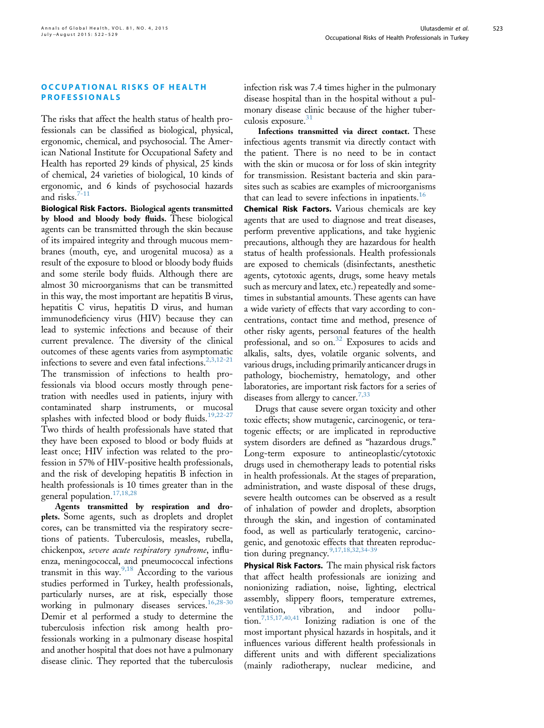523

# OCCUPATIONAL RISKS OF HEALTH

The risks that affect the health status of health professionals can be classified as biological, physical, ergonomic, chemical, and psychosocial. The American National Institute for Occupational Safety and Health has reported 29 kinds of physical, 25 kinds of chemical, 24 varieties of biological, 10 kinds of ergonomic, and 6 kinds of psychosocial hazards and risks. $7-11$ 

Biological Risk Factors. Biological agents transmitted by blood and bloody body fluids. These biological agents can be transmitted through the skin because of its impaired integrity and through mucous membranes (mouth, eye, and urogenital mucosa) as a result of the exposure to blood or bloody body fluids and some sterile body fluids. Although there are almost 30 microorganisms that can be transmitted in this way, the most important are hepatitis B virus, hepatitis C virus, hepatitis D virus, and human immunodeficiency virus (HIV) because they can lead to systemic infections and because of their current prevalence. The diversity of the clinical outcomes of these agents varies from asymptomatic infections to severe and even fatal infections.<sup>[2,3,12-21](#page-4-0)</sup> The transmission of infections to health professionals via blood occurs mostly through penetration with needles used in patients, injury with contaminated sharp instruments, or mucosal splashes with infected blood or body fluids.<sup>[19,22-27](#page-5-0)</sup> Two thirds of health professionals have stated that they have been exposed to blood or body fluids at least once; HIV infection was related to the profession in 57% of HIV-positive health professionals, and the risk of developing hepatitis B infection in health professionals is 10 times greater than in the general population.[17,18,28](#page-5-0)

Agents transmitted by respiration and droplets. Some agents, such as droplets and droplet cores, can be transmitted via the respiratory secretions of patients. Tuberculosis, measles, rubella, chickenpox, severe acute respiratory syndrome, influenza, meningococcal, and pneumococcal infections transmit in this way. $9,18$  According to the various studies performed in Turkey, health professionals, particularly nurses, are at risk, especially those working in pulmonary diseases services.[16,28-30](#page-5-0) Demir et al performed a study to determine the tuberculosis infection risk among health professionals working in a pulmonary disease hospital and another hospital that does not have a pulmonary disease clinic. They reported that the tuberculosis infection risk was 7.4 times higher in the pulmonary disease hospital than in the hospital without a pulmonary disease clinic because of the higher tuber-culosis exposure.<sup>[31](#page-5-0)</sup>

Infections transmitted via direct contact. These infectious agents transmit via directly contact with the patient. There is no need to be in contact with the skin or mucosa or for loss of skin integrity for transmission. Resistant bacteria and skin parasites such as scabies are examples of microorganisms that can lead to severe infections in inpatients.<sup>[16](#page-5-0)</sup>

Chemical Risk Factors. Various chemicals are key agents that are used to diagnose and treat diseases, perform preventive applications, and take hygienic precautions, although they are hazardous for health status of health professionals. Health professionals are exposed to chemicals (disinfectants, anesthetic agents, cytotoxic agents, drugs, some heavy metals such as mercury and latex, etc.) repeatedly and sometimes in substantial amounts. These agents can have a wide variety of effects that vary according to concentrations, contact time and method, presence of other risky agents, personal features of the health professional, and so on.<sup>[32](#page-5-0)</sup> Exposures to acids and alkalis, salts, dyes, volatile organic solvents, and various drugs, including primarily anticancer drugs in pathology, biochemistry, hematology, and other laboratories, are important risk factors for a series of diseases from allergy to cancer.<sup>[7,33](#page-4-0)</sup>

Drugs that cause severe organ toxicity and other toxic effects; show mutagenic, carcinogenic, or teratogenic effects; or are implicated in reproductive system disorders are defined as "hazardous drugs." Long-term exposure to antineoplastic/cytotoxic drugs used in chemotherapy leads to potential risks in health professionals. At the stages of preparation, administration, and waste disposal of these drugs, severe health outcomes can be observed as a result of inhalation of powder and droplets, absorption through the skin, and ingestion of contaminated food, as well as particularly teratogenic, carcinogenic, and genotoxic effects that threaten reproduc-tion during pregnancy.<sup>[9,17,18,32,34-39](#page-4-0)</sup>

Physical Risk Factors. The main physical risk factors that affect health professionals are ionizing and nonionizing radiation, noise, lighting, electrical assembly, slippery floors, temperature extremes, ventilation, vibration, and indoor pollu-tion.<sup>[7,15,17,40,41](#page-4-0)</sup> Ionizing radiation is one of the most important physical hazards in hospitals, and it influences various different health professionals in different units and with different specializations (mainly radiotherapy, nuclear medicine, and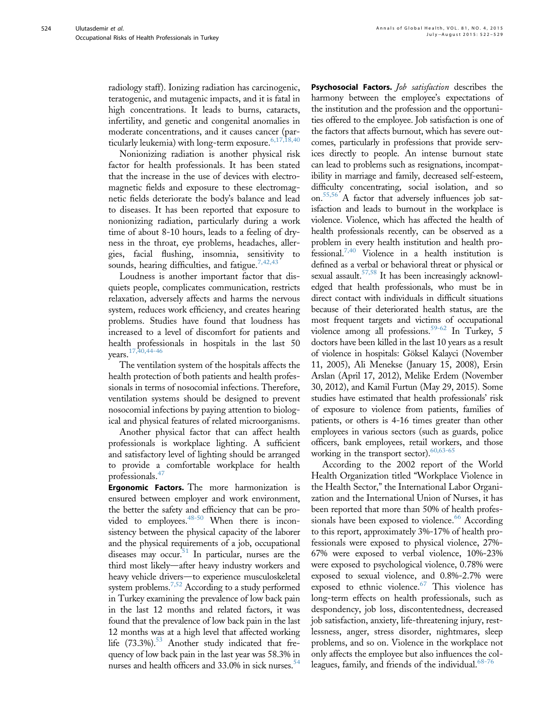radiology staff). Ionizing radiation has carcinogenic, teratogenic, and mutagenic impacts, and it is fatal in high concentrations. It leads to burns, cataracts, infertility, and genetic and congenital anomalies in moderate concentrations, and it causes cancer (particularly leukemia) with long-term exposure.  $6,17,18,40$ 

Nonionizing radiation is another physical risk factor for health professionals. It has been stated that the increase in the use of devices with electromagnetic fields and exposure to these electromagnetic fields deteriorate the body's balance and lead to diseases. It has been reported that exposure to nonionizing radiation, particularly during a work time of about 8-10 hours, leads to a feeling of dryness in the throat, eye problems, headaches, allergies, facial flushing, insomnia, sensitivity to sounds, hearing difficulties, and fatigue.<sup>7,42,43</sup>

Loudness is another important factor that disquiets people, complicates communication, restricts relaxation, adversely affects and harms the nervous system, reduces work efficiency, and creates hearing problems. Studies have found that loudness has increased to a level of discomfort for patients and health professionals in hospitals in the last 50 years.<sup>[17,40,44-46](#page-5-0)</sup>

The ventilation system of the hospitals affects the health protection of both patients and health professionals in terms of nosocomial infections. Therefore, ventilation systems should be designed to prevent nosocomial infections by paying attention to biological and physical features of related microorganisms.

Another physical factor that can affect health professionals is workplace lighting. A sufficient and satisfactory level of lighting should be arranged to provide a comfortable workplace for health professionals.<sup>[47](#page-5-0)</sup>

**Ergonomic Factors.** The more harmonization is ensured between employer and work environment, the better the safety and efficiency that can be provided to employees.  $48-50$  When there is inconsistency between the physical capacity of the laborer and the physical requirements of a job, occupational diseases may occur. In particular, nurses are the third most likely-after heavy industry workers and heavy vehicle drivers-to experience musculoskeletal system problems.<sup>7,52</sup> According to a study performed in Turkey examining the prevalence of low back pain in the last 12 months and related factors, it was found that the prevalence of low back pain in the last 12 months was at a high level that affected working life  $(73.3\%)$ .<sup>53</sup> Another study indicated that frequency of low back pain in the last year was 58.3% in nurses and health officers and 33.0% in sick nurses.<sup>54</sup>

Psychosocial Factors. Job satisfaction describes the harmony between the employee's expectations of the institution and the profession and the opportunities offered to the employee. Job satisfaction is one of the factors that affects burnout, which has severe outcomes, particularly in professions that provide services directly to people. An intense burnout state can lead to problems such as resignations, incompatibility in marriage and family, decreased self-esteem, difficulty concentrating, social isolation, and so on[.55,56](#page-6-0) A factor that adversely influences job satisfaction and leads to burnout in the workplace is violence. Violence, which has affected the health of health professionals recently, can be observed as a problem in every health institution and health professional[.7,40](#page-4-0) Violence in a health institution is defined as a verbal or behavioral threat or physical or sexual assault.<sup>57,58</sup> It has been increasingly acknowledged that health professionals, who must be in direct contact with individuals in difficult situations because of their deteriorated health status, are the most frequent targets and victims of occupational violence among all professions.<sup>59-62</sup> In Turkey, 5 doctors have been killed in the last 10 years as a result of violence in hospitals: Göksel Kalayci (November 11, 2005), Ali Menekse (January 15, 2008), Ersin Arslan (April 17, 2012), Melike Erdem (November 30, 2012), and Kamil Furtun (May 29, 2015). Some studies have estimated that health professionals' risk of exposure to violence from patients, families of patients, or others is 4-16 times greater than other employees in various sectors (such as guards, police officers, bank employees, retail workers, and those working in the transport sector). $60,63-65$ 

According to the 2002 report of the World Health Organization titled "Workplace Violence in the Health Sector," the International Labor Organization and the International Union of Nurses, it has been reported that more than 50% of health profes-sionals have been exposed to violence.<sup>[66](#page-6-0)</sup> According to this report, approximately 3%-17% of health professionals were exposed to physical violence, 27%- 67% were exposed to verbal violence, 10%-23% were exposed to psychological violence, 0.78% were exposed to sexual violence, and 0.8%-2.7% were exposed to ethnic violence.<sup>[67](#page-6-0)</sup> This violence has long-term effects on health professionals, such as despondency, job loss, discontentedness, decreased job satisfaction, anxiety, life-threatening injury, restlessness, anger, stress disorder, nightmares, sleep problems, and so on. Violence in the workplace not only affects the employee but also influences the col-leagues, family, and friends of the individual.<sup>[68-76](#page-6-0)</sup>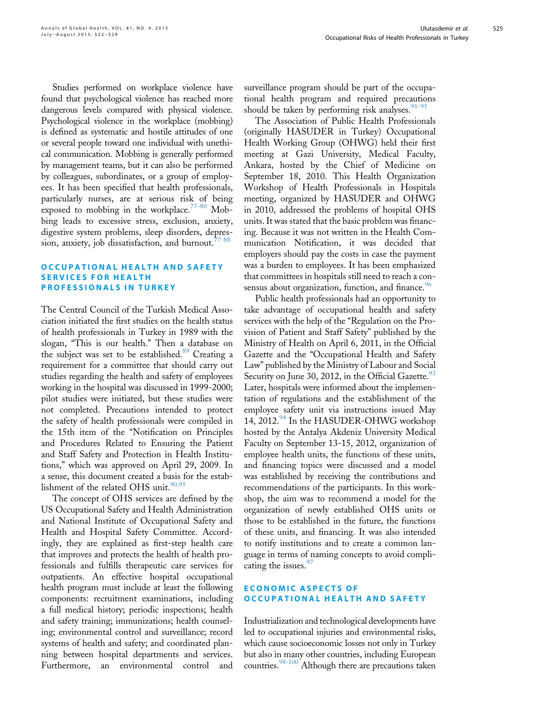525

Studies performed on workplace violence have found that psychological violence has reached more dangerous levels compared with physical violence. Psychological violence in the workplace (mobbing) is defined as systematic and hostile attitudes of one or several people toward one individual with unethical communication. Mobbing is generally performed by management teams, but it can also be performed by colleagues, subordinates, or a group of employees. It has been specified that health professionals, particularly nurses, are at serious risk of being exposed to mobbing in the workplace.<sup>[77-80](#page-6-0)</sup> Mobbing leads to excessive stress, exclusion, anxiety, digestive system problems, sleep disorders, depression, anxiety, job dissatisfaction, and burnout. $77-88$ 

## OCCUPATIONAL HEALTH AND SAFETY<br>SERVICES FOR HEALTH **PROFESSIONALS IN THE**

The Central Council of the Turkish Medical Association initiated the first studies on the health status of health professionals in Turkey in 1989 with the slogan, "This is our health." Then a database on the subject was set to be established.<sup>[89](#page-6-0)</sup> Creating a requirement for a committee that should carry out studies regarding the health and safety of employees working in the hospital was discussed in 1999-2000; pilot studies were initiated, but these studies were not completed. Precautions intended to protect the safety of health professionals were compiled in the 15th item of the "Notification on Principles and Procedures Related to Ensuring the Patient and Staff Safety and Protection in Health Institutions," which was approved on April 29, 2009. In a sense, this document created a basis for the establishment of the related OHS unit. $90,91$ 

The concept of OHS services are defined by the US Occupational Safety and Health Administration and National Institute of Occupational Safety and Health and Hospital Safety Committee. Accordingly, they are explained as first-step health care that improves and protects the health of health professionals and fulfills therapeutic care services for outpatients. An effective hospital occupational health program must include at least the following components: recruitment examinations, including a full medical history; periodic inspections; health and safety training; immunizations; health counseling; environmental control and surveillance; record systems of health and safety; and coordinated planning between hospital departments and services. Furthermore, an environmental control and

surveillance program should be part of the occupational health program and required precautions should be taken by performing risk analyses.  $91-95$ 

The Association of Public Health Professionals (originally HASUDER in Turkey) Occupational Health Working Group (OHWG) held their first meeting at Gazi University, Medical Faculty, Ankara, hosted by the Chief of Medicine on September 18, 2010. This Health Organization Workshop of Health Professionals in Hospitals meeting, organized by HASUDER and OHWG in 2010, addressed the problems of hospital OHS units. It was stated that the basic problem was financing. Because it was not written in the Health Communication Notification, it was decided that employers should pay the costs in case the payment was a burden to employees. It has been emphasized that committees in hospitals still need to reach a con-sensus about organization, function, and finance.<sup>[96](#page-7-0)</sup>

Public health professionals had an opportunity to take advantage of occupational health and safety services with the help of the "Regulation on the Provision of Patient and Staff Safety" published by the Ministry of Health on April 6, 2011, in the Official Gazette and the "Occupational Health and Safety Law" published by the Ministry of Labour and Social Security on June 30, 2012, in the Official Gazette.<sup>[93](#page-6-0)</sup> Later, hospitals were informed about the implementation of regulations and the establishment of the employee safety unit via instructions issued May 14, 2012.<sup>[94](#page-7-0)</sup> In the HASUDER-OHWG workshop hosted by the Antalya Akdeniz University Medical Faculty on September 13-15, 2012, organization of employee health units, the functions of these units, and financing topics were discussed and a model was established by receiving the contributions and recommendations of the participants. In this workshop, the aim was to recommend a model for the organization of newly established OHS units or those to be established in the future, the functions of these units, and financing. It was also intended to notify institutions and to create a common language in terms of naming concepts to avoid complicating the issues. $97$ 

# ECONOMIC ASPECTS OF<br>OCCUPATIONAL HEALTH AND SAFETY

Industrialization and technological developments have led to occupational injuries and environmental risks, which cause socioeconomic losses not only in Turkey but also in many other countries, including European countries.<sup>98-100</sup> Although there are precautions taken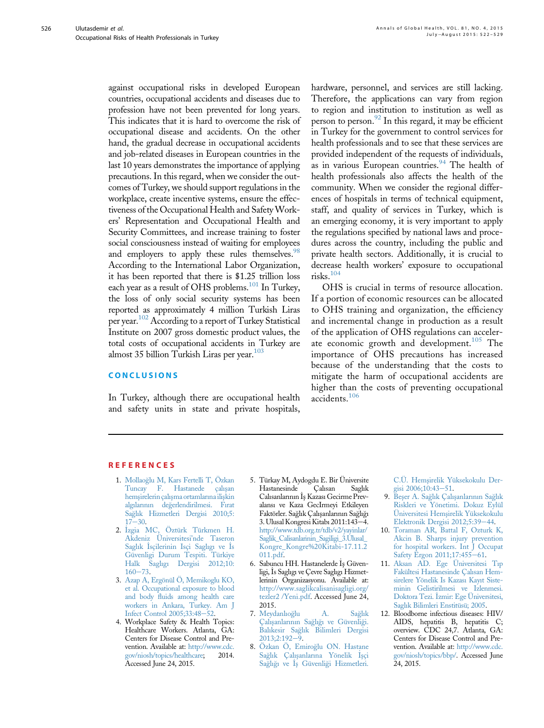<span id="page-4-0"></span>against occupational risks in developed European countries, occupational accidents and diseases due to profession have not been prevented for long years. This indicates that it is hard to overcome the risk of occupational disease and accidents. On the other hand, the gradual decrease in occupational accidents and job-related diseases in European countries in the last 10 years demonstrates the importance of applying precautions. In this regard, when we consider the outcomes of Turkey, we should support regulations in the workplace, create incentive systems, ensure the effectiveness of the Occupational Health and SafetyWorkers' Representation and Occupational Health and Security Committees, and increase training to foster social consciousness instead of waiting for employees and employers to apply these rules themselves.<sup>98</sup> According to the International Labor Organization, it has been reported that there is \$1.25 trillion loss each year as a result of OHS problems.<sup>101</sup> In Turkey, the loss of only social security systems has been reported as approximately 4 million Turkish Liras per year.<sup>[102](#page-7-0)</sup> According to a report of Turkey Statistical Institute on 2007 gross domestic product values, the total costs of occupational accidents in Turkey are almost 35 billion Turkish Liras per year. $103$ 

In Turkey, although there are occupational health and safety units in state and private hospitals,

hardware, personnel, and services are still lacking. Therefore, the applications can vary from region to region and institution to institution as well as person to person. $^{92}$  $^{92}$  $^{92}$  In this regard, it may be efficient in Turkey for the government to control services for health professionals and to see that these services are provided independent of the requests of individuals, as in various European countries.<sup>[94](#page-7-0)</sup> The health of health professionals also affects the health of the community. When we consider the regional differences of hospitals in terms of technical equipment, staff, and quality of services in Turkey, which is an emerging economy, it is very important to apply the regulations specified by national laws and procedures across the country, including the public and private health sectors. Additionally, it is crucial to decrease health workers' exposure to occupational risks.[104](#page-7-0)

OHS is crucial in terms of resource allocation. If a portion of economic resources can be allocated to OHS training and organization, the efficiency and incremental change in production as a result of the application of OHS regulations can acceler-ate economic growth and development.<sup>[105](#page-7-0)</sup> The importance of OHS precautions has increased because of the understanding that the costs to mitigate the harm of occupational accidents are higher than the costs of preventing occupational accidents.[106](#page-7-0)

### **REFERENCES**

- 1. [Mollao](http://refhub.elsevier.com/S2214-9996(15)01235-7/sref1)[glu M, Kars Fertelli T, Özkan](http://refhub.elsevier.com/S2214-9996(15)01235-7/sref1) [Tuncay F. Hastanede çal](http://refhub.elsevier.com/S2214-9996(15)01235-7/sref1)ış[an](http://refhub.elsevier.com/S2214-9996(15)01235-7/sref1) hemş[irelerin çal](http://refhub.elsevier.com/S2214-9996(15)01235-7/sref1)ış[ma ortamlar](http://refhub.elsevier.com/S2214-9996(15)01235-7/sref1)ına iliş[kin](http://refhub.elsevier.com/S2214-9996(15)01235-7/sref1) [alg](http://refhub.elsevier.com/S2214-9996(15)01235-7/sref1)ı[lar](http://refhub.elsevier.com/S2214-9996(15)01235-7/sref1)ı[n](http://refhub.elsevier.com/S2214-9996(15)01235-7/sref1)ı[n de](http://refhub.elsevier.com/S2214-9996(15)01235-7/sref1)[gerlendirilmesi. F](http://refhub.elsevier.com/S2214-9996(15)01235-7/sref1)ı[rat](http://refhub.elsevier.com/S2214-9996(15)01235-7/sref1) [Sa](http://refhub.elsevier.com/S2214-9996(15)01235-7/sref1)g[l](http://refhub.elsevier.com/S2214-9996(15)01235-7/sref1)ı[k Hizmetleri Dergisi 2010;5:](http://refhub.elsevier.com/S2214-9996(15)01235-7/sref1)  $17 - 30$  $17 - 30$ .
- 2. İzgia MC, Öztürk Türkmen H. [Akdeniz Üniversitesi](http://refhub.elsevier.com/S2214-9996(15)01235-7/sref2)'nde Taseron [Sagl](http://refhub.elsevier.com/S2214-9996(15)01235-7/sref2)ı[k](http://refhub.elsevier.com/S2214-9996(15)01235-7/sref2) İsçilerinin Isçi Sa[g](http://refhub.elsevier.com/S2214-9996(15)01235-7/sref2)lıgı [ve](http://refhub.elsevier.com/S2214-9996(15)01235-7/sref2) İs [Güvenligi Durum Tespiti. Türkiye](http://refhub.elsevier.com/S2214-9996(15)01235-7/sref2) [Halk Sagl](http://refhub.elsevier.com/S2214-9996(15)01235-7/sref2)ı[g](http://refhub.elsevier.com/S2214-9996(15)01235-7/sref2)ı [Dergisi 2012;10:](http://refhub.elsevier.com/S2214-9996(15)01235-7/sref2)  $160 - 73$  $160 - 73$  $160 - 73$ .
- 3. [Azap A, Ergönül Ö, Memikoglu KO,](http://refhub.elsevier.com/S2214-9996(15)01235-7/sref3) [et al. Occupational exposure to blood](http://refhub.elsevier.com/S2214-9996(15)01235-7/sref3) and body fl[uids among health care](http://refhub.elsevier.com/S2214-9996(15)01235-7/sref3) [workers in Ankara, Turkey. Am J](http://refhub.elsevier.com/S2214-9996(15)01235-7/sref3) [Infect Control 2005;33:48](http://refhub.elsevier.com/S2214-9996(15)01235-7/sref3)-[52](http://refhub.elsevier.com/S2214-9996(15)01235-7/sref3).
- 4. Workplace Safety & Health Topics: Healthcare Workers. Atlanta, GA: Centers for Disease Control and Prevention. Available at: [http://www.cdc.](http://www.cdc.gov/niosh/topics/healthcare)<br>gov/niosh/topics/healthcare: 2014. [gov/niosh/topics/healthcare](http://www.cdc.gov/niosh/topics/healthcare); Accessed June 24, 2015.
- 5. Türkay M, Aydogdu E. Bir Üniversite Hastanesinde Calısanlarının İş Kazası Gecirme Prevalansı ve Kaza GecIrmeyi Etkileyen Faktörler. Sağlık Çalışanlarının Sağlığı 3. Ulusal Kongresi Kitabı 2011:143-4. [http://www.tdb.org.tr/tdb/v2/yayinlar/](http://www.tdb.org.tr/tdb/v2/yayinlar/Saglik_Calisanlarinin_Sagiligi_3.Ulusal_Kongre_Kongre%20Kitabi-17.11.2011.pdf) [Saglik\\_Calisanlarinin\\_Sagiligi\\_3.Ulusal\\_](http://www.tdb.org.tr/tdb/v2/yayinlar/Saglik_Calisanlarinin_Sagiligi_3.Ulusal_Kongre_Kongre%20Kitabi-17.11.2011.pdf) [Kongre\\_Kongre%20Kitabi-17.11.2](http://www.tdb.org.tr/tdb/v2/yayinlar/Saglik_Calisanlarinin_Sagiligi_3.Ulusal_Kongre_Kongre%20Kitabi-17.11.2011.pdf) [011.pdf](http://www.tdb.org.tr/tdb/v2/yayinlar/Saglik_Calisanlarinin_Sagiligi_3.Ulusal_Kongre_Kongre%20Kitabi-17.11.2011.pdf).
- 6. Sabuncu HH. Hastanelerde İş Güvenligi, \_ Is Saglıgı ve Çevre Saglıgı Hizmetlerinin Organizasyonu. Available at: [http://www.saglikcalisanisagligi.org/](http://www.saglikcalisanisagligi.org/tezler2%20/Yeni.pdf) [tezler2 /Yeni.pdf.](http://www.saglikcalisanisagligi.org/tezler2%20/Yeni.pdf) Accessed June 24, 2015.
- 7. [Meydanl](http://refhub.elsevier.com/S2214-9996(15)01235-7/sref7)ı[o](http://refhub.elsevier.com/S2214-9996(15)01235-7/sref7)g[lu A. Sa](http://refhub.elsevier.com/S2214-9996(15)01235-7/sref7)g[l](http://refhub.elsevier.com/S2214-9996(15)01235-7/sref7)ı[k](http://refhub.elsevier.com/S2214-9996(15)01235-7/sref7) [Çal](http://refhub.elsevier.com/S2214-9996(15)01235-7/sref7)ış[anlar](http://refhub.elsevier.com/S2214-9996(15)01235-7/sref7)ı[n](http://refhub.elsevier.com/S2214-9996(15)01235-7/sref7)ı[n Sa](http://refhub.elsevier.com/S2214-9996(15)01235-7/sref7)ğ[l](http://refhub.elsevier.com/S2214-9996(15)01235-7/sref7)ığı [ve Güvenli](http://refhub.elsevier.com/S2214-9996(15)01235-7/sref7)ği. [Bal](http://refhub.elsevier.com/S2214-9996(15)01235-7/sref7)ı[kesir Sa](http://refhub.elsevier.com/S2214-9996(15)01235-7/sref7)[gl](http://refhub.elsevier.com/S2214-9996(15)01235-7/sref7)ı[k Bilimleri Dergisi](http://refhub.elsevier.com/S2214-9996(15)01235-7/sref7)  $2013;2:192-\frac{5}{9}$  $2013;2:192-\frac{5}{9}$ .
- 8. [Özkan Ö, Emiro](http://refhub.elsevier.com/S2214-9996(15)01235-7/sref8)[glu ON. Hastane](http://refhub.elsevier.com/S2214-9996(15)01235-7/sref8) [Sa](http://refhub.elsevier.com/S2214-9996(15)01235-7/sref8)ğlı[k Çal](http://refhub.elsevier.com/S2214-9996(15)01235-7/sref8)ışanları[na Yönelik](http://refhub.elsevier.com/S2214-9996(15)01235-7/sref8) İşçi [Sa](http://refhub.elsevier.com/S2214-9996(15)01235-7/sref8)ğlığı [ve](http://refhub.elsevier.com/S2214-9996(15)01235-7/sref8) İş [Güvenli](http://refhub.elsevier.com/S2214-9996(15)01235-7/sref8)ği Hizmetleri.

C.Ü. Hemş[irelik Yüksekokulu Der](http://refhub.elsevier.com/S2214-9996(15)01235-7/sref8)[gisi 2006;10:43](http://refhub.elsevier.com/S2214-9996(15)01235-7/sref8)-[51](http://refhub.elsevier.com/S2214-9996(15)01235-7/sref8).

- 9. Beşer A. Sağ[l](http://refhub.elsevier.com/S2214-9996(15)01235-7/sref9)ı[k Çal](http://refhub.elsevier.com/S2214-9996(15)01235-7/sref9)ışa[n](http://refhub.elsevier.com/S2214-9996(15)01235-7/sref9)larını[n Sa](http://refhub.elsevier.com/S2214-9996(15)01235-7/sref9)ğlı[k](http://refhub.elsevier.com/S2214-9996(15)01235-7/sref9) [Riskleri ve Yönetimi. Dokuz Eylül](http://refhub.elsevier.com/S2214-9996(15)01235-7/sref9) [Üniversitesi Hem](http://refhub.elsevier.com/S2214-9996(15)01235-7/sref9)ş[irelik Yüksekokulu](http://refhub.elsevier.com/S2214-9996(15)01235-7/sref9) [Elektronik Dergisi 2012;5:39](http://refhub.elsevier.com/S2214-9996(15)01235-7/sref9)-[44](http://refhub.elsevier.com/S2214-9996(15)01235-7/sref9).
- 10. [Toraman AR, Battal F, Ozturk K,](http://refhub.elsevier.com/S2214-9996(15)01235-7/sref10) [Akcin B. Sharps injury prevention](http://refhub.elsevier.com/S2214-9996(15)01235-7/sref10) [for hospital workers. Int J Occupat](http://refhub.elsevier.com/S2214-9996(15)01235-7/sref10) [Safety Ergon 2011;17:455](http://refhub.elsevier.com/S2214-9996(15)01235-7/sref10)-[61.](http://refhub.elsevier.com/S2214-9996(15)01235-7/sref10)
- 11. [Aksan AD. Ege Üniversitesi T](http://refhub.elsevier.com/S2214-9996(15)01235-7/sref11)ı[p](http://refhub.elsevier.com/S2214-9996(15)01235-7/sref11) [Fakültesi Hastanesinde Çal](http://refhub.elsevier.com/S2214-9996(15)01235-7/sref11)ı[san Hem](http://refhub.elsevier.com/S2214-9996(15)01235-7/sref11)[sirelere Yönelik Is](http://refhub.elsevier.com/S2214-9996(15)01235-7/sref11) Kazası [Kay](http://refhub.elsevier.com/S2214-9996(15)01235-7/sref11)ı[t Siste](http://refhub.elsevier.com/S2214-9996(15)01235-7/sref11)[minin Gelistirilmesi ve Izlenmesi.](http://refhub.elsevier.com/S2214-9996(15)01235-7/sref11) [Doktora Tezi.](http://refhub.elsevier.com/S2214-9996(15)01235-7/sref11) \_ [Izmir: Ege Üniversitesi,](http://refhub.elsevier.com/S2214-9996(15)01235-7/sref11) [Sagl](http://refhub.elsevier.com/S2214-9996(15)01235-7/sref11)ı[k Bilimleri Enstitüsü; 2005](http://refhub.elsevier.com/S2214-9996(15)01235-7/sref11).
- 12. Bloodborne infectious diseases: HIV/ AIDS, hepatitis B, hepatitis C; overview. CDC 24,7. Atlanta, GA: Centers for Disease Control and Prevention. Available at: [http://www.cdc.](http://www.cdc.gov/niosh/topics/bbp/) [gov/niosh/topics/bbp/.](http://www.cdc.gov/niosh/topics/bbp/) Accessed June 24, 2015.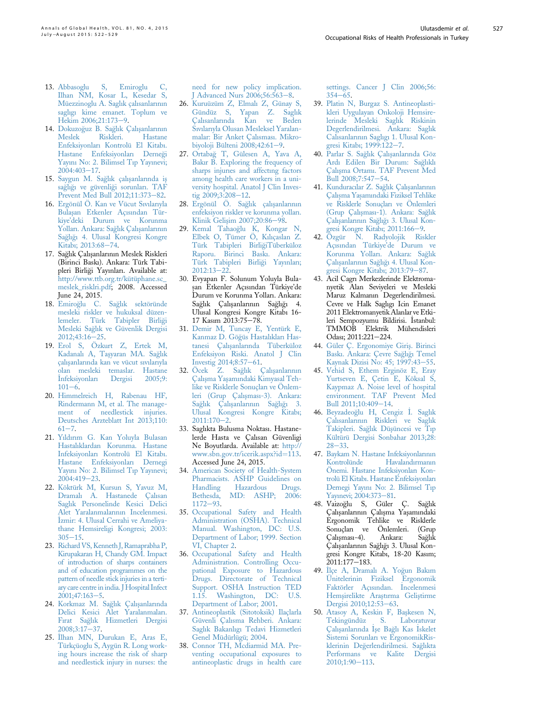527

- <span id="page-5-0"></span>13. [Abbasoglu S, Emiroglu C,](http://refhub.elsevier.com/S2214-9996(15)01235-7/sref13) [Ilhan NM, Kosar L, Kesedar S,](http://refhub.elsevier.com/S2214-9996(15)01235-7/sref13) [Müezzinoglu A. Sagl](http://refhub.elsevier.com/S2214-9996(15)01235-7/sref13)ı[k çal](http://refhub.elsevier.com/S2214-9996(15)01235-7/sref13)ı[sanlar](http://refhub.elsevier.com/S2214-9996(15)01235-7/sref13)ı[n](http://refhub.elsevier.com/S2214-9996(15)01235-7/sref13)ı[n](http://refhub.elsevier.com/S2214-9996(15)01235-7/sref13) [sagl](http://refhub.elsevier.com/S2214-9996(15)01235-7/sref13)ı[g](http://refhub.elsevier.com/S2214-9996(15)01235-7/sref13)ı [kime emanet. Toplum ve](http://refhub.elsevier.com/S2214-9996(15)01235-7/sref13) [Hekim 2006;21:173](http://refhub.elsevier.com/S2214-9996(15)01235-7/sref13)-[9.](http://refhub.elsevier.com/S2214-9996(15)01235-7/sref13)
- 14. [Dokuzo](http://refhub.elsevier.com/S2214-9996(15)01235-7/sref14)ğ[uz B. Sa](http://refhub.elsevier.com/S2214-9996(15)01235-7/sref14)ğlı[k Çal](http://refhub.elsevier.com/S2214-9996(15)01235-7/sref14)ış[anlar](http://refhub.elsevier.com/S2214-9996(15)01235-7/sref14)ı[n](http://refhub.elsevier.com/S2214-9996(15)01235-7/sref14)ın<br>Meslek Riskleri Hastane Riskleri. [Enfeksiyonlar](http://refhub.elsevier.com/S2214-9996(15)01235-7/sref14)ı [Kontrolü El Kitab](http://refhub.elsevier.com/S2214-9996(15)01235-7/sref14)ı[.](http://refhub.elsevier.com/S2214-9996(15)01235-7/sref14) [Hastane Enfeksiyonlar](http://refhub.elsevier.com/S2214-9996(15)01235-7/sref14)ı [Derne](http://refhub.elsevier.com/S2214-9996(15)01235-7/sref14)g[i](http://refhub.elsevier.com/S2214-9996(15)01235-7/sref14) [Yay](http://refhub.elsevier.com/S2214-9996(15)01235-7/sref14)ı[n](http://refhub.elsevier.com/S2214-9996(15)01235-7/sref14)ı [No: 2. Bilimsel T](http://refhub.elsevier.com/S2214-9996(15)01235-7/sref14)ı[p Yay](http://refhub.elsevier.com/S2214-9996(15)01235-7/sref14)ı[nevi;](http://refhub.elsevier.com/S2214-9996(15)01235-7/sref14)  $2004:403 - 17$  $2004:403 - 17$ .
- 15. [Saygun M. Sa](http://refhub.elsevier.com/S2214-9996(15)01235-7/sref15)ğlı[k çal](http://refhub.elsevier.com/S2214-9996(15)01235-7/sref15)ışanları[nda i](http://refhub.elsevier.com/S2214-9996(15)01235-7/sref15)ş [sa](http://refhub.elsevier.com/S2214-9996(15)01235-7/sref15)[gl](http://refhub.elsevier.com/S2214-9996(15)01235-7/sref15)ıgı [ve güvenli](http://refhub.elsevier.com/S2214-9996(15)01235-7/sref15)g[i sorunlar](http://refhub.elsevier.com/S2214-9996(15)01235-7/sref15)ı[. TAF](http://refhub.elsevier.com/S2214-9996(15)01235-7/sref15) [Prevent Med Bull 2012;11:373](http://refhub.elsevier.com/S2214-9996(15)01235-7/sref15)-[82](http://refhub.elsevier.com/S2214-9996(15)01235-7/sref15).
- 16. [Ergönül Ö. Kan ve Vücut S](http://refhub.elsevier.com/S2214-9996(15)01235-7/sref16)ı[v](http://refhub.elsevier.com/S2214-9996(15)01235-7/sref16)ı[lar](http://refhub.elsevier.com/S2214-9996(15)01235-7/sref16)ı[yla](http://refhub.elsevier.com/S2214-9996(15)01235-7/sref16) Bulaşan Etkenler Açı[s](http://refhub.elsevier.com/S2214-9996(15)01235-7/sref16)ı[ndan Tür](http://refhub.elsevier.com/S2214-9996(15)01235-7/sref16)kiye'[deki Durum ve Korunma](http://refhub.elsevier.com/S2214-9996(15)01235-7/sref16) [Yollar](http://refhub.elsevier.com/S2214-9996(15)01235-7/sref16)ı[. Ankara: Sa](http://refhub.elsevier.com/S2214-9996(15)01235-7/sref16)ğ[l](http://refhub.elsevier.com/S2214-9996(15)01235-7/sref16)ı[k Çal](http://refhub.elsevier.com/S2214-9996(15)01235-7/sref16)ış[anlar](http://refhub.elsevier.com/S2214-9996(15)01235-7/sref16)ı[n](http://refhub.elsevier.com/S2214-9996(15)01235-7/sref16)ın [Sa](http://refhub.elsevier.com/S2214-9996(15)01235-7/sref16)g[l](http://refhub.elsevier.com/S2214-9996(15)01235-7/sref16)ıgı [4. Ulusal Kongresi Kongre](http://refhub.elsevier.com/S2214-9996(15)01235-7/sref16) [Kitab](http://refhub.elsevier.com/S2214-9996(15)01235-7/sref16)ı[; 2013:68](http://refhub.elsevier.com/S2214-9996(15)01235-7/sref16)-[74](http://refhub.elsevier.com/S2214-9996(15)01235-7/sref16).
- 17. Sağlık Çalışanlarının Meslek Riskleri (Birinci Baskı). Ankara: Türk Tabipleri Birligi Yayınları. Available at: [http://www.ttb.org.tr/kütüphane.sc\\_](http://www.ttb.org.tr/k%fct%fcphane.sc_meslek_risklri.pdf) [meslek\\_risklri.pdf](http://www.ttb.org.tr/k%fct%fcphane.sc_meslek_risklri.pdf); 2008. Accessed June 24, 2015.
- 18. [Emiro](http://refhub.elsevier.com/S2214-9996(15)01235-7/sref18)[glu C. Sa](http://refhub.elsevier.com/S2214-9996(15)01235-7/sref18)g[l](http://refhub.elsevier.com/S2214-9996(15)01235-7/sref18)ı[k sektöründe](http://refhub.elsevier.com/S2214-9996(15)01235-7/sref18) [mesleki riskler ve hukuksal düzen](http://refhub.elsevier.com/S2214-9996(15)01235-7/sref18)[lemeler. Türk Tabipler Birli](http://refhub.elsevier.com/S2214-9996(15)01235-7/sref18)g[i](http://refhub.elsevier.com/S2214-9996(15)01235-7/sref18) [Mesleki Sa](http://refhub.elsevier.com/S2214-9996(15)01235-7/sref18)[gl](http://refhub.elsevier.com/S2214-9996(15)01235-7/sref18)ı[k ve Güvenlik Dergisi](http://refhub.elsevier.com/S2214-9996(15)01235-7/sref18)  $2012;43:16-25.$  $2012;43:16-25.$  $2012;43:16-25.$
- 19. [Erol S, Özkurt Z, Ertek M,](http://refhub.elsevier.com/S2214-9996(15)01235-7/sref19) [Kadanal](http://refhub.elsevier.com/S2214-9996(15)01235-7/sref19)ı [A, Ta](http://refhub.elsevier.com/S2214-9996(15)01235-7/sref19)ş[yaran MA. Sa](http://refhub.elsevier.com/S2214-9996(15)01235-7/sref19)ğ[l](http://refhub.elsevier.com/S2214-9996(15)01235-7/sref19)ı[k](http://refhub.elsevier.com/S2214-9996(15)01235-7/sref19) [çal](http://refhub.elsevier.com/S2214-9996(15)01235-7/sref19)ış[anlar](http://refhub.elsevier.com/S2214-9996(15)01235-7/sref19)ı[nda kan ve vücut s](http://refhub.elsevier.com/S2214-9996(15)01235-7/sref19)ı[v](http://refhub.elsevier.com/S2214-9996(15)01235-7/sref19)ı[lar](http://refhub.elsevier.com/S2214-9996(15)01235-7/sref19)ı[yla](http://refhub.elsevier.com/S2214-9996(15)01235-7/sref19) [olan mesleki temaslar. Hastane](http://refhub.elsevier.com/S2214-9996(15)01235-7/sref19)<br>İnfeksiyonları Dergisi 2005;9: \_ [Infeksiyonlar](http://refhub.elsevier.com/S2214-9996(15)01235-7/sref19)ı [Dergisi 2005;9:](http://refhub.elsevier.com/S2214-9996(15)01235-7/sref19)  $101 - 6$  $101 - 6$  $101 - 6$ .
- 20. [Himmelreich H, Rabenau HF,](http://refhub.elsevier.com/S2214-9996(15)01235-7/sref20) [Rindermann M, et al. The manage](http://refhub.elsevier.com/S2214-9996(15)01235-7/sref20)[ment of needlestick injuries.](http://refhub.elsevier.com/S2214-9996(15)01235-7/sref20) [Deutsches Arzteblatt Int 2013;110:](http://refhub.elsevier.com/S2214-9996(15)01235-7/sref20)  $61 - 7.$  $61 - 7.$  $61 - 7.$  $61 - 7.$
- 21. [Y](http://refhub.elsevier.com/S2214-9996(15)01235-7/sref21)ı[ld](http://refhub.elsevier.com/S2214-9996(15)01235-7/sref21)ı[r](http://refhub.elsevier.com/S2214-9996(15)01235-7/sref21)ı[m G. Kan Yoluyla Bulasan](http://refhub.elsevier.com/S2214-9996(15)01235-7/sref21) [Hastal](http://refhub.elsevier.com/S2214-9996(15)01235-7/sref21)ı[klardan Korunma. Hastane](http://refhub.elsevier.com/S2214-9996(15)01235-7/sref21) [Infeksiyonlar](http://refhub.elsevier.com/S2214-9996(15)01235-7/sref21)ı [Kontrolü El Kitab](http://refhub.elsevier.com/S2214-9996(15)01235-7/sref21)ı[.](http://refhub.elsevier.com/S2214-9996(15)01235-7/sref21) [Hastane Enfeksiyonlar](http://refhub.elsevier.com/S2214-9996(15)01235-7/sref21)ı [Dernegi](http://refhub.elsevier.com/S2214-9996(15)01235-7/sref21) [Yay](http://refhub.elsevier.com/S2214-9996(15)01235-7/sref21)ı[n](http://refhub.elsevier.com/S2214-9996(15)01235-7/sref21)ı [No: 2. Bilimsel T](http://refhub.elsevier.com/S2214-9996(15)01235-7/sref21)ı[p Yay](http://refhub.elsevier.com/S2214-9996(15)01235-7/sref21)ı[nevi;](http://refhub.elsevier.com/S2214-9996(15)01235-7/sref21)  $2004:419-23$  $2004:419-23$ .
- 22. [Köktürk M, Kursun S, Yavuz M,](http://refhub.elsevier.com/S2214-9996(15)01235-7/sref22) [Dramal](http://refhub.elsevier.com/S2214-9996(15)01235-7/sref22)ı [A. Hastanede Çal](http://refhub.elsevier.com/S2214-9996(15)01235-7/sref22)ı[san](http://refhub.elsevier.com/S2214-9996(15)01235-7/sref22) [Sagl](http://refhub.elsevier.com/S2214-9996(15)01235-7/sref22)ı[k Personelinde Kesici Delici](http://refhub.elsevier.com/S2214-9996(15)01235-7/sref22) [Alet Yaralanmalar](http://refhub.elsevier.com/S2214-9996(15)01235-7/sref22)ı[n](http://refhub.elsevier.com/S2214-9996(15)01235-7/sref22)ı[n Incelenmesi.](http://refhub.elsevier.com/S2214-9996(15)01235-7/sref22) [Izmir: 4. Ulusal Cerrahi ve Ameliya](http://refhub.elsevier.com/S2214-9996(15)01235-7/sref22)[thane Hemsireligi Kongresi; 2003:](http://refhub.elsevier.com/S2214-9996(15)01235-7/sref22)  $305 - 15$  $305 - 15$  $305 - 15$ .
- 23. [Richard VS, Kenneth J, Ramaprabha P,](http://refhub.elsevier.com/S2214-9996(15)01235-7/sref23) [Kirupakaran H, Chandy GM. Impact](http://refhub.elsevier.com/S2214-9996(15)01235-7/sref23) [of introduction of sharps containers](http://refhub.elsevier.com/S2214-9996(15)01235-7/sref23) [and of education programmes on the](http://refhub.elsevier.com/S2214-9996(15)01235-7/sref23) [pattern of needle stick injuries in a terti](http://refhub.elsevier.com/S2214-9996(15)01235-7/sref23)[ary care centre in india. J Hospital Infect](http://refhub.elsevier.com/S2214-9996(15)01235-7/sref23)  $2001;47:163-5.$  $2001;47:163-5.$  $2001;47:163-5.$
- 24. [Korkmaz M. Sa](http://refhub.elsevier.com/S2214-9996(15)01235-7/sref24)ğ[l](http://refhub.elsevier.com/S2214-9996(15)01235-7/sref24)ı[k Çal](http://refhub.elsevier.com/S2214-9996(15)01235-7/sref24)ış[anlar](http://refhub.elsevier.com/S2214-9996(15)01235-7/sref24)ı[nda](http://refhub.elsevier.com/S2214-9996(15)01235-7/sref24) [Delici Kesici Alet Yaralanmalar](http://refhub.elsevier.com/S2214-9996(15)01235-7/sref24)ı[.](http://refhub.elsevier.com/S2214-9996(15)01235-7/sref24) [F](http://refhub.elsevier.com/S2214-9996(15)01235-7/sref24)ı[rat Sa](http://refhub.elsevier.com/S2214-9996(15)01235-7/sref24)[gl](http://refhub.elsevier.com/S2214-9996(15)01235-7/sref24)ı[k Hizmetleri Dergisi](http://refhub.elsevier.com/S2214-9996(15)01235-7/sref24)  $2008;3:17-37.$  $2008;3:17-37.$  $2008;3:17-37.$
- 25. İlhan MN, Durukan E, Aras E, [Türkçüoglu S, Aygün R. Long work](http://refhub.elsevier.com/S2214-9996(15)01235-7/sref25)[ing hours increase the risk of sharp](http://refhub.elsevier.com/S2214-9996(15)01235-7/sref25) [and needlestick injury in nurses: the](http://refhub.elsevier.com/S2214-9996(15)01235-7/sref25)

[need for new policy implication.](http://refhub.elsevier.com/S2214-9996(15)01235-7/sref25)  $I$  Advanced Nurs  $2006:56:563-8$  $2006:56:563-8$ .

- 26. [Kuruüzüm Z, Elmal](http://refhub.elsevier.com/S2214-9996(15)01235-7/sref26)ı [Z, Günay S,](http://refhub.elsevier.com/S2214-9996(15)01235-7/sref26) [Gündüz S, Yapan Z. Sagl](http://refhub.elsevier.com/S2214-9996(15)01235-7/sref26)ı[k](http://refhub.elsevier.com/S2214-9996(15)01235-7/sref26) [Çal](http://refhub.elsevier.com/S2214-9996(15)01235-7/sref26)ı[sanlar](http://refhub.elsevier.com/S2214-9996(15)01235-7/sref26)ı[nda Kan ve Beden](http://refhub.elsevier.com/S2214-9996(15)01235-7/sref26) [S](http://refhub.elsevier.com/S2214-9996(15)01235-7/sref26)ı[v](http://refhub.elsevier.com/S2214-9996(15)01235-7/sref26)ı[lar](http://refhub.elsevier.com/S2214-9996(15)01235-7/sref26)ı[yla Olusan Mesleksel Yaralan](http://refhub.elsevier.com/S2214-9996(15)01235-7/sref26)[malar: Bir Anket Çal](http://refhub.elsevier.com/S2214-9996(15)01235-7/sref26)ı[smas](http://refhub.elsevier.com/S2214-9996(15)01235-7/sref26)ı[. Mikro](http://refhub.elsevier.com/S2214-9996(15)01235-7/sref26)[biyoloji Bülteni 2008;42:61](http://refhub.elsevier.com/S2214-9996(15)01235-7/sref26)-[9](http://refhub.elsevier.com/S2214-9996(15)01235-7/sref26).
- 27. [Ortaba](http://refhub.elsevier.com/S2214-9996(15)01235-7/sref27)g [T, Gülesen A, Yava A,](http://refhub.elsevier.com/S2214-9996(15)01235-7/sref27) [Bak](http://refhub.elsevier.com/S2214-9996(15)01235-7/sref27)ı[r B. Exploring the frequency of](http://refhub.elsevier.com/S2214-9996(15)01235-7/sref27) [sharps injur](http://refhub.elsevier.com/S2214-9996(15)01235-7/sref27)ı[es and affect](http://refhub.elsevier.com/S2214-9996(15)01235-7/sref27)ı[ng factors](http://refhub.elsevier.com/S2214-9996(15)01235-7/sref27) [among health care workers in a uni](http://refhub.elsevier.com/S2214-9996(15)01235-7/sref27)[versity hospital. Anatol J Clin Inves](http://refhub.elsevier.com/S2214-9996(15)01235-7/sref27)tig  $2009;3:208-12$  $2009;3:208-12$ .
- 28. [Ergönül Ö. Sa](http://refhub.elsevier.com/S2214-9996(15)01235-7/sref28)ğlı[k çal](http://refhub.elsevier.com/S2214-9996(15)01235-7/sref28)ışa[n](http://refhub.elsevier.com/S2214-9996(15)01235-7/sref28)larının [enfeksiyon riskler ve korunma yollar](http://refhub.elsevier.com/S2214-9996(15)01235-7/sref28)ı[.](http://refhub.elsevier.com/S2214-9996(15)01235-7/sref28) [Klinik Geli](http://refhub.elsevier.com/S2214-9996(15)01235-7/sref28)s[im 2007;20:86](http://refhub.elsevier.com/S2214-9996(15)01235-7/sref28)-[98.](http://refhub.elsevier.com/S2214-9996(15)01235-7/sref28)
- 29. [Kemal Tahao](http://refhub.elsevier.com/S2214-9996(15)01235-7/sref29)[glu K, Kongar N,](http://refhub.elsevier.com/S2214-9996(15)01235-7/sref29) [Elbek O, Tümer Ö, K](http://refhub.elsevier.com/S2214-9996(15)01235-7/sref29)ı[l](http://refhub.elsevier.com/S2214-9996(15)01235-7/sref29)ı[çaslan Z.](http://refhub.elsevier.com/S2214-9996(15)01235-7/sref29) [Türk Tabipleri Birli](http://refhub.elsevier.com/S2214-9996(15)01235-7/sref29)g[iTüberküloz](http://refhub.elsevier.com/S2214-9996(15)01235-7/sref29) [Raporu. Birinci Bask](http://refhub.elsevier.com/S2214-9996(15)01235-7/sref29)ı[. Ankara:](http://refhub.elsevier.com/S2214-9996(15)01235-7/sref29) [Türk Tabipleri Birli](http://refhub.elsevier.com/S2214-9996(15)01235-7/sref29)[gi Yay](http://refhub.elsevier.com/S2214-9996(15)01235-7/sref29)ı[nlar](http://refhub.elsevier.com/S2214-9996(15)01235-7/sref29)ı[;](http://refhub.elsevier.com/S2214-9996(15)01235-7/sref29)  $2012.13 - 22$  $2012.13 - 22$
- 30. Evyapan F. Solunum Yoluyla Bulasan Etkenler Acısından Türkiye'de Durum ve Korunma Yolları. Ankara: Sağlık Calısanlarının Sağlığı 4. Ulusal Kongresi Kongre Kitabı 16- 17 Kasım 2013:75-78.
- 31. [Demir M, Tuncay E, Yentürk E,](http://refhub.elsevier.com/S2214-9996(15)01235-7/sref31) [Kanmaz D. Gö](http://refhub.elsevier.com/S2214-9996(15)01235-7/sref31)[güs Hastal](http://refhub.elsevier.com/S2214-9996(15)01235-7/sref31)ı[klar](http://refhub.elsevier.com/S2214-9996(15)01235-7/sref31)ı [Has](http://refhub.elsevier.com/S2214-9996(15)01235-7/sref31)[tanesi Çal](http://refhub.elsevier.com/S2214-9996(15)01235-7/sref31)ış[anlar](http://refhub.elsevier.com/S2214-9996(15)01235-7/sref31)ı[nda Tüberküloz](http://refhub.elsevier.com/S2214-9996(15)01235-7/sref31) [Enfeksiyon Riski. Anatol J Clin](http://refhub.elsevier.com/S2214-9996(15)01235-7/sref31) Investig  $2014;8:57-61$  $2014;8:57-61$ .
- 32. [Öcek Z. Sa](http://refhub.elsevier.com/S2214-9996(15)01235-7/sref32)ğlı[k Çal](http://refhub.elsevier.com/S2214-9996(15)01235-7/sref32)ışa[n](http://refhub.elsevier.com/S2214-9996(15)01235-7/sref32)larının [Çal](http://refhub.elsevier.com/S2214-9996(15)01235-7/sref32)ışma Yaş[am](http://refhub.elsevier.com/S2214-9996(15)01235-7/sref32)ı[ndaki Kimyasal Teh](http://refhub.elsevier.com/S2214-9996(15)01235-7/sref32)[like ve Risklerle Sonuçlar](http://refhub.elsevier.com/S2214-9996(15)01235-7/sref32)ı [ve Önlem](http://refhub.elsevier.com/S2214-9996(15)01235-7/sref32)[leri \(Grup Çal](http://refhub.elsevier.com/S2214-9996(15)01235-7/sref32)ış[mas](http://refhub.elsevier.com/S2214-9996(15)01235-7/sref32)ı[-3\). Ankara:](http://refhub.elsevier.com/S2214-9996(15)01235-7/sref32) [Sa](http://refhub.elsevier.com/S2214-9996(15)01235-7/sref32)ğlı[k Çal](http://refhub.elsevier.com/S2214-9996(15)01235-7/sref32)ış[anlar](http://refhub.elsevier.com/S2214-9996(15)01235-7/sref32)ı[n](http://refhub.elsevier.com/S2214-9996(15)01235-7/sref32)ı[n Sa](http://refhub.elsevier.com/S2214-9996(15)01235-7/sref32)ğlığı [3.](http://refhub.elsevier.com/S2214-9996(15)01235-7/sref32) [Ulusal Kongresi Kongre Kitab](http://refhub.elsevier.com/S2214-9996(15)01235-7/sref32)ı[;](http://refhub.elsevier.com/S2214-9996(15)01235-7/sref32)  $2011:170-2.$  $2011:170-2.$  $2011:170-2.$  $2011:170-2.$
- 33. Saglıkta Bulusma Noktası. Hastanelerde Hasta ve Çalısan Güvenligi Ne Boyutlarda. Available at: [http://](http://www.sbn.gov.tr/icerik.aspx?id=113) [www.sbn.gov.tr/icerik.aspx?id](http://www.sbn.gov.tr/icerik.aspx?id=113)=[113.](http://www.sbn.gov.tr/icerik.aspx?id=113) Accessed June 24, 2015.
- 34. [American Society of Health-System](http://refhub.elsevier.com/S2214-9996(15)01235-7/sref34) [Pharmacists. ASHP Guidelines on](http://refhub.elsevier.com/S2214-9996(15)01235-7/sref34)<br>Handling Hazardous Drugs. Hazardous [Bethesda, MD: ASHP; 2006:](http://refhub.elsevier.com/S2214-9996(15)01235-7/sref34)  $1172 - 93$  $1172 - 93$  $1172 - 93$ .
- 35. [Occupational Safety and Health](http://refhub.elsevier.com/S2214-9996(15)01235-7/sref35) [Administration \(OSHA\). Technical](http://refhub.elsevier.com/S2214-9996(15)01235-7/sref35) [Manual. Washington, DC: U.S.](http://refhub.elsevier.com/S2214-9996(15)01235-7/sref35) [Department of Labor; 1999. Section](http://refhub.elsevier.com/S2214-9996(15)01235-7/sref35) [VI, Chapter 2](http://refhub.elsevier.com/S2214-9996(15)01235-7/sref35).
- 36. [Occupational Safety and Health](http://refhub.elsevier.com/S2214-9996(15)01235-7/sref36) [Administration. Controlling Occu](http://refhub.elsevier.com/S2214-9996(15)01235-7/sref36)[pational Exposure to Hazardous](http://refhub.elsevier.com/S2214-9996(15)01235-7/sref36) [Drugs. Directorate of Technical](http://refhub.elsevier.com/S2214-9996(15)01235-7/sref36) [Support. OSHA Instruction TED](http://refhub.elsevier.com/S2214-9996(15)01235-7/sref36) [1.15. Washington, DC: U.S.](http://refhub.elsevier.com/S2214-9996(15)01235-7/sref36) [Department of Labor; 2001.](http://refhub.elsevier.com/S2214-9996(15)01235-7/sref36)
- 37. [Antineoplastik \(Sitotoksik\) Ilaçlarla](http://refhub.elsevier.com/S2214-9996(15)01235-7/sref37) [Güvenli Çal](http://refhub.elsevier.com/S2214-9996(15)01235-7/sref37)ı[sma Rehberi. Ankara:](http://refhub.elsevier.com/S2214-9996(15)01235-7/sref37) [Sagl](http://refhub.elsevier.com/S2214-9996(15)01235-7/sref37)ı[k Bakanl](http://refhub.elsevier.com/S2214-9996(15)01235-7/sref37)ı[g](http://refhub.elsevier.com/S2214-9996(15)01235-7/sref37)ı [Tedavi Hizmetleri](http://refhub.elsevier.com/S2214-9996(15)01235-7/sref37) [Genel Müdürlügü; 2004](http://refhub.elsevier.com/S2214-9996(15)01235-7/sref37).
- 38. [Connor TH, Mcdiarmid MA. Pre](http://refhub.elsevier.com/S2214-9996(15)01235-7/sref38)[venting occupational exposures to](http://refhub.elsevier.com/S2214-9996(15)01235-7/sref38) [antineoplastic drugs in health care](http://refhub.elsevier.com/S2214-9996(15)01235-7/sref38)

[settings. Cancer J Clin 2006;56:](http://refhub.elsevier.com/S2214-9996(15)01235-7/sref38)  $354 - 65.$  $354 - 65.$  $354 - 65.$ 

- 39. [Platin N, Burgaz S. Antineoplasti](http://refhub.elsevier.com/S2214-9996(15)01235-7/sref39)[kleri Uygulayan Onkoloji Hemsire](http://refhub.elsevier.com/S2214-9996(15)01235-7/sref39)[lerinde Mesleki Sagl](http://refhub.elsevier.com/S2214-9996(15)01235-7/sref39)ı[k Riskinin](http://refhub.elsevier.com/S2214-9996(15)01235-7/sref39) [Degerlendirilmesi. Ankara: Sagl](http://refhub.elsevier.com/S2214-9996(15)01235-7/sref39)ı[k](http://refhub.elsevier.com/S2214-9996(15)01235-7/sref39) [Cal](http://refhub.elsevier.com/S2214-9996(15)01235-7/sref39)ı[sanlar](http://refhub.elsevier.com/S2214-9996(15)01235-7/sref39)ı[n](http://refhub.elsevier.com/S2214-9996(15)01235-7/sref39)ı[n Sagl](http://refhub.elsevier.com/S2214-9996(15)01235-7/sref39)ı[g](http://refhub.elsevier.com/S2214-9996(15)01235-7/sref39)ı [1. Ulusal Kon](http://refhub.elsevier.com/S2214-9996(15)01235-7/sref39)[gresi Kitab](http://refhub.elsevier.com/S2214-9996(15)01235-7/sref39)ı[; 1999:122](http://refhub.elsevier.com/S2214-9996(15)01235-7/sref39)-[7](http://refhub.elsevier.com/S2214-9996(15)01235-7/sref39).
- 40. [Parlar S. Sa](http://refhub.elsevier.com/S2214-9996(15)01235-7/sref40)ğ[l](http://refhub.elsevier.com/S2214-9996(15)01235-7/sref40)ı[k Çal](http://refhub.elsevier.com/S2214-9996(15)01235-7/sref40)ışanları[nda Göz](http://refhub.elsevier.com/S2214-9996(15)01235-7/sref40) [Ard](http://refhub.elsevier.com/S2214-9996(15)01235-7/sref40)ı [Edilen Bir Durum: Sa](http://refhub.elsevier.com/S2214-9996(15)01235-7/sref40)g[l](http://refhub.elsevier.com/S2214-9996(15)01235-7/sref40)ı[kl](http://refhub.elsevier.com/S2214-9996(15)01235-7/sref40)ı [Çal](http://refhub.elsevier.com/S2214-9996(15)01235-7/sref40)ışma Ortamı[. TAF Prevent Med](http://refhub.elsevier.com/S2214-9996(15)01235-7/sref40) [Bull 2008;7:547](http://refhub.elsevier.com/S2214-9996(15)01235-7/sref40)-[54.](http://refhub.elsevier.com/S2214-9996(15)01235-7/sref40)
- 41. [Kundurac](http://refhub.elsevier.com/S2214-9996(15)01235-7/sref41)ı[lar Z. Sa](http://refhub.elsevier.com/S2214-9996(15)01235-7/sref41)ğlı[k Çal](http://refhub.elsevier.com/S2214-9996(15)01235-7/sref41)ışa[n](http://refhub.elsevier.com/S2214-9996(15)01235-7/sref41)larının [Çal](http://refhub.elsevier.com/S2214-9996(15)01235-7/sref41)ışma Yaşamı[ndaki Fiziksel Tehlike](http://refhub.elsevier.com/S2214-9996(15)01235-7/sref41) [ve Risklerle Sonuçlar](http://refhub.elsevier.com/S2214-9996(15)01235-7/sref41)ı [ve Önlemleri](http://refhub.elsevier.com/S2214-9996(15)01235-7/sref41) [\(Grup Çal](http://refhub.elsevier.com/S2214-9996(15)01235-7/sref41)ış[mas](http://refhub.elsevier.com/S2214-9996(15)01235-7/sref41)ı[-1\). Ankara: Sa](http://refhub.elsevier.com/S2214-9996(15)01235-7/sref41)ğ[l](http://refhub.elsevier.com/S2214-9996(15)01235-7/sref41)ı[k](http://refhub.elsevier.com/S2214-9996(15)01235-7/sref41) [Çal](http://refhub.elsevier.com/S2214-9996(15)01235-7/sref41)ış[anlar](http://refhub.elsevier.com/S2214-9996(15)01235-7/sref41)ı[n](http://refhub.elsevier.com/S2214-9996(15)01235-7/sref41)ı[n Sa](http://refhub.elsevier.com/S2214-9996(15)01235-7/sref41)ğlığı [3. Ulusal Kon](http://refhub.elsevier.com/S2214-9996(15)01235-7/sref41)[gresi Kongre Kitab](http://refhub.elsevier.com/S2214-9996(15)01235-7/sref41)ı[; 2011:166](http://refhub.elsevier.com/S2214-9996(15)01235-7/sref41)-[9](http://refhub.elsevier.com/S2214-9996(15)01235-7/sref41).
- 42. [Özgür N. Radyolojik Riskler](http://refhub.elsevier.com/S2214-9996(15)01235-7/sref42) [Aç](http://refhub.elsevier.com/S2214-9996(15)01235-7/sref42)ı[s](http://refhub.elsevier.com/S2214-9996(15)01235-7/sref42)ından Türkiye'[de Durum ve](http://refhub.elsevier.com/S2214-9996(15)01235-7/sref42) [Korunma Yollar](http://refhub.elsevier.com/S2214-9996(15)01235-7/sref42)ı[. Ankara: Sa](http://refhub.elsevier.com/S2214-9996(15)01235-7/sref42)g[l](http://refhub.elsevier.com/S2214-9996(15)01235-7/sref42)ı[k](http://refhub.elsevier.com/S2214-9996(15)01235-7/sref42) [Çal](http://refhub.elsevier.com/S2214-9996(15)01235-7/sref42)ışa[n](http://refhub.elsevier.com/S2214-9996(15)01235-7/sref42)larını[n Sa](http://refhub.elsevier.com/S2214-9996(15)01235-7/sref42)ğlığı [4. Ulusal Kon](http://refhub.elsevier.com/S2214-9996(15)01235-7/sref42)[gresi Kongre Kitab](http://refhub.elsevier.com/S2214-9996(15)01235-7/sref42)ı[; 2013:79](http://refhub.elsevier.com/S2214-9996(15)01235-7/sref42)–[87.](http://refhub.elsevier.com/S2214-9996(15)01235-7/sref42)
- 43. Acil Cagrı Merkezlerinde Elektromanyetik Alan Seviyeleri ve Mesleki Maruz Kalmanın Degerlendirilmesi. Cevre ve Halk Saglıgı Icin Emanet 2011 Elektromanyetik Alanlar ve Etkileri Sempozyumu Bildirisi. \_ Istanbul: TMMOB Elektrik Mühendisleri Odası; 2011:221-224.
- 44. [Güler Ç. Ergonomiye Giris](http://refhub.elsevier.com/S2214-9996(15)01235-7/sref44)¸[. Birinci](http://refhub.elsevier.com/S2214-9996(15)01235-7/sref44) [Bask](http://refhub.elsevier.com/S2214-9996(15)01235-7/sref44)ı[. Ankara: Çevre Sa](http://refhub.elsevier.com/S2214-9996(15)01235-7/sref44)[gl](http://refhub.elsevier.com/S2214-9996(15)01235-7/sref44)ıgı [Temel](http://refhub.elsevier.com/S2214-9996(15)01235-7/sref44) [Kaynak Dizisi No: 45; 1997:43](http://refhub.elsevier.com/S2214-9996(15)01235-7/sref44)-[55](http://refhub.elsevier.com/S2214-9996(15)01235-7/sref44).
- 45. [Vehid S, Ethem Erginöz E, Eray](http://refhub.elsevier.com/S2214-9996(15)01235-7/sref45) [Yurtseven E, Çetin E, Köksal S,](http://refhub.elsevier.com/S2214-9996(15)01235-7/sref45) [Kaypmaz A. Noise level of hospital](http://refhub.elsevier.com/S2214-9996(15)01235-7/sref45) [environment. TAF Prevent Med](http://refhub.elsevier.com/S2214-9996(15)01235-7/sref45) [Bull 2011;10:409](http://refhub.elsevier.com/S2214-9996(15)01235-7/sref45)-[14.](http://refhub.elsevier.com/S2214-9996(15)01235-7/sref45)
- 46. [Beyzadeo](http://refhub.elsevier.com/S2214-9996(15)01235-7/sref46)ğ[lu H, Cengiz](http://refhub.elsevier.com/S2214-9996(15)01235-7/sref46) İ[. Sagl](http://refhub.elsevier.com/S2214-9996(15)01235-7/sref46)ı[k](http://refhub.elsevier.com/S2214-9996(15)01235-7/sref46) [Çal](http://refhub.elsevier.com/S2214-9996(15)01235-7/sref46)ı[sanlar](http://refhub.elsevier.com/S2214-9996(15)01235-7/sref46)ı[n](http://refhub.elsevier.com/S2214-9996(15)01235-7/sref46)ı[n Riskleri ve Sagl](http://refhub.elsevier.com/S2214-9996(15)01235-7/sref46)ı[k](http://refhub.elsevier.com/S2214-9996(15)01235-7/sref46) [Takipleri. Sa](http://refhub.elsevier.com/S2214-9996(15)01235-7/sref46)ğlık Düşüncesi ve Tı[p](http://refhub.elsevier.com/S2214-9996(15)01235-7/sref46) [Kültürü Dergisi Sonbahar 2013;28:](http://refhub.elsevier.com/S2214-9996(15)01235-7/sref46)  $28 - 33$  $28 - 33$ .
- 47. [Baykam N. Hastane Infeksiyonlar](http://refhub.elsevier.com/S2214-9996(15)01235-7/sref47)ı[n](http://refhub.elsevier.com/S2214-9996(15)01235-7/sref47)ı[n](http://refhub.elsevier.com/S2214-9996(15)01235-7/sref47) Kavalandı[rman](http://refhub.elsevier.com/S2214-9996(15)01235-7/sref47)ı[n](http://refhub.elsevier.com/S2214-9996(15)01235-7/sref47) [Önemi. Hastane Infeksiyonlar](http://refhub.elsevier.com/S2214-9996(15)01235-7/sref47)ı [Kon](http://refhub.elsevier.com/S2214-9996(15)01235-7/sref47)[trolü El Kitab](http://refhub.elsevier.com/S2214-9996(15)01235-7/sref47)ı[. Hastane Enfeksiyonlar](http://refhub.elsevier.com/S2214-9996(15)01235-7/sref47)ı [Dernegi Yay](http://refhub.elsevier.com/S2214-9996(15)01235-7/sref47)ı[n](http://refhub.elsevier.com/S2214-9996(15)01235-7/sref47)ı [No: 2. Bilimsel T](http://refhub.elsevier.com/S2214-9996(15)01235-7/sref47)ı[p](http://refhub.elsevier.com/S2214-9996(15)01235-7/sref47) [Yay](http://refhub.elsevier.com/S2214-9996(15)01235-7/sref47)ı[nevi; 2004:373](http://refhub.elsevier.com/S2214-9996(15)01235-7/sref47)–[81.](http://refhub.elsevier.com/S2214-9996(15)01235-7/sref47)
- 48. Vaizoglu S, Güler Ç. Saglık Çalışanlarının Çalışma Yaşamındaki Ergonomik Tehlike ve Risklerle Sonuçları ve Önlemleri. (Grup<br>Çalışması-4). Ankara: Sağlık Çalışması-4). Çalıs¸anlarının Saglıgı 3. Ulusal Kongresi Kongre Kitabı, 18-20 Kasım; 2011:177-183.
- 49. İlçe A, Dramalı [A. Yo](http://refhub.elsevier.com/S2214-9996(15)01235-7/sref49)ğun Bakı[m](http://refhub.elsevier.com/S2214-9996(15)01235-7/sref49) [Ünitelerinin Fiziksel Ergonomik](http://refhub.elsevier.com/S2214-9996(15)01235-7/sref49) [Faktörler Aç](http://refhub.elsevier.com/S2214-9996(15)01235-7/sref49)ı[s](http://refhub.elsevier.com/S2214-9996(15)01235-7/sref49)ı[ndan.](http://refhub.elsevier.com/S2214-9996(15)01235-7/sref49) \_ I[ncelenmesi](http://refhub.elsevier.com/S2214-9996(15)01235-7/sref49) Hemşirelikte Araştı[rma Geli](http://refhub.elsevier.com/S2214-9996(15)01235-7/sref49)ş[tirme](http://refhub.elsevier.com/S2214-9996(15)01235-7/sref49) [Dergisi 2010;12:53](http://refhub.elsevier.com/S2214-9996(15)01235-7/sref49)-[63.](http://refhub.elsevier.com/S2214-9996(15)01235-7/sref49)
- 50. Atasoy A, Keskin F, Başkesen N, Tekingündüz S. Laboratuvar Tekingündüz S. [Çal](http://refhub.elsevier.com/S2214-9996(15)01235-7/sref50)ışanları[nda](http://refhub.elsevier.com/S2214-9996(15)01235-7/sref50) İş[e Ba](http://refhub.elsevier.com/S2214-9996(15)01235-7/sref50)ğ[l](http://refhub.elsevier.com/S2214-9996(15)01235-7/sref50)ı [Kas](http://refhub.elsevier.com/S2214-9996(15)01235-7/sref50) İ[skelet](http://refhub.elsevier.com/S2214-9996(15)01235-7/sref50) [Sistemi Sorunlar](http://refhub.elsevier.com/S2214-9996(15)01235-7/sref50)ı [ve ErgonomikRis](http://refhub.elsevier.com/S2214-9996(15)01235-7/sref50)[klerinin De](http://refhub.elsevier.com/S2214-9996(15)01235-7/sref50)g[erlendirilmesi. Sa](http://refhub.elsevier.com/S2214-9996(15)01235-7/sref50)g[l](http://refhub.elsevier.com/S2214-9996(15)01235-7/sref50)ı[kta](http://refhub.elsevier.com/S2214-9996(15)01235-7/sref50) [Performans ve Kalite Dergisi](http://refhub.elsevier.com/S2214-9996(15)01235-7/sref50)  $2010;1:90-113.$  $2010;1:90-113.$  $2010;1:90-113.$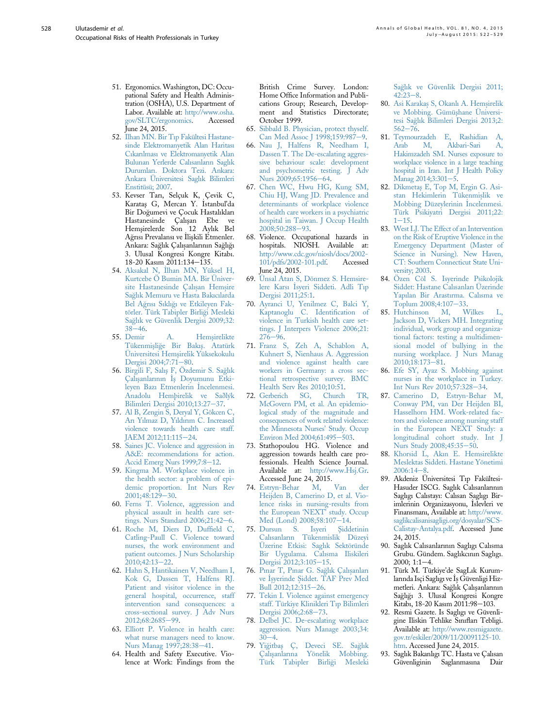- <span id="page-6-0"></span>51. Ergonomics. Washington, DC: Occupational Safety and Health Administration (OSHA), U.S. Department of Labor. Available at: [http://www.osha.](http://www.osha.gov/SLTC/ergonomics)<br>gov/SLTC/ergonomics. Accessed [gov/SLTC/ergonomics.](http://www.osha.gov/SLTC/ergonomics) June 24, 2015.
- 52. [Ilhan MN. Bir T](http://refhub.elsevier.com/S2214-9996(15)01235-7/sref52)ı[p Fakültesi Hastane](http://refhub.elsevier.com/S2214-9996(15)01235-7/sref52)[sinde Elektromanyetik Alan Haritas](http://refhub.elsevier.com/S2214-9996(15)01235-7/sref52)ı [C](http://refhub.elsevier.com/S2214-9996(15)01235-7/sref52)ı[kar](http://refhub.elsevier.com/S2214-9996(15)01235-7/sref52)ı[lmas](http://refhub.elsevier.com/S2214-9996(15)01235-7/sref52)ı [ve Elektromanyetik Alan](http://refhub.elsevier.com/S2214-9996(15)01235-7/sref52) [Bulunan Yerlerde Cal](http://refhub.elsevier.com/S2214-9996(15)01235-7/sref52)ı[sanlar](http://refhub.elsevier.com/S2214-9996(15)01235-7/sref52)ı[n Sagl](http://refhub.elsevier.com/S2214-9996(15)01235-7/sref52)ı[k](http://refhub.elsevier.com/S2214-9996(15)01235-7/sref52) [Durumlar](http://refhub.elsevier.com/S2214-9996(15)01235-7/sref52)ı[. Doktora Tezi. Ankara:](http://refhub.elsevier.com/S2214-9996(15)01235-7/sref52) [Ankara Üniversitesi Sagl](http://refhub.elsevier.com/S2214-9996(15)01235-7/sref52)ı[k Bilimleri](http://refhub.elsevier.com/S2214-9996(15)01235-7/sref52) [Enstitüsü; 2007](http://refhub.elsevier.com/S2214-9996(15)01235-7/sref52).
- 53. Kevser Tarı, Selçuk K, Çevik C,<br>Karataş G, Mercan Y. İstanbul'da Bir Dogumevi ve Çocuk Hastalıkları Hastanesinde Çalışan Ebe ve Hemşirelerde Son 12 Aylık Bel Ağrısı Prevalansı ve İlişkili Etmenler. Ankara: Sağlık Çalışanlarının Sağlığı 3. Ulusal Kongresi Kongre Kitabı. 18-20 Kasım 2011:134-135.
- 54. [Aksakal N,](http://refhub.elsevier.com/S2214-9996(15)01235-7/sref54) \_ [Ilhan MN, Yüksel H,](http://refhub.elsevier.com/S2214-9996(15)01235-7/sref54) [Kurtcebe Ö Bumin MA. Bir Üniver](http://refhub.elsevier.com/S2214-9996(15)01235-7/sref54)site Hastanesinde Calıs[an Hems](http://refhub.elsevier.com/S2214-9996(15)01235-7/sref54)[ire](http://refhub.elsevier.com/S2214-9996(15)01235-7/sref54) [Sa](http://refhub.elsevier.com/S2214-9996(15)01235-7/sref54)g[l](http://refhub.elsevier.com/S2214-9996(15)01235-7/sref54)ı[k Memuru ve Hasta Bak](http://refhub.elsevier.com/S2214-9996(15)01235-7/sref54)ı[c](http://refhub.elsevier.com/S2214-9996(15)01235-7/sref54)ı[larda](http://refhub.elsevier.com/S2214-9996(15)01235-7/sref54) [Bel A](http://refhub.elsevier.com/S2214-9996(15)01235-7/sref54)g[r](http://refhub.elsevier.com/S2214-9996(15)01235-7/sref54)ı[s](http://refhub.elsevier.com/S2214-9996(15)01235-7/sref54)ı [S](http://refhub.elsevier.com/S2214-9996(15)01235-7/sref54)ı[kl](http://refhub.elsevier.com/S2214-9996(15)01235-7/sref54)ıgı [ve Etkileyen Fak](http://refhub.elsevier.com/S2214-9996(15)01235-7/sref54)[törler. Türk Tabipler Birli](http://refhub.elsevier.com/S2214-9996(15)01235-7/sref54)[gi Mesleki](http://refhub.elsevier.com/S2214-9996(15)01235-7/sref54) [Sa](http://refhub.elsevier.com/S2214-9996(15)01235-7/sref54)g[l](http://refhub.elsevier.com/S2214-9996(15)01235-7/sref54)ı[k ve Güvenlik Dergisi 2009;32:](http://refhub.elsevier.com/S2214-9996(15)01235-7/sref54)  $38-46.$  $38-46.$  $38-46.$  $38-46.$ <br>55. Demir
- 55. [Demir A. Hems¸irelikte](http://refhub.elsevier.com/S2214-9996(15)01235-7/sref55) [Tükenmis¸li](http://refhub.elsevier.com/S2214-9996(15)01235-7/sref55)g[e Bir Bak](http://refhub.elsevier.com/S2214-9996(15)01235-7/sref55)ıs¸[. Atatürk](http://refhub.elsevier.com/S2214-9996(15)01235-7/sref55) Üniversitesi Hemş[irelik Yüksekokulu](http://refhub.elsevier.com/S2214-9996(15)01235-7/sref55) [Dergisi 2004;7:71](http://refhub.elsevier.com/S2214-9996(15)01235-7/sref55)-[80.](http://refhub.elsevier.com/S2214-9996(15)01235-7/sref55)
- 56. [Birgili F, Sal](http://refhub.elsevier.com/S2214-9996(15)01235-7/sref56)ıs¸ [F, Özdemir S. Sa](http://refhub.elsevier.com/S2214-9996(15)01235-7/sref56)[gl](http://refhub.elsevier.com/S2214-9996(15)01235-7/sref56)ı[k](http://refhub.elsevier.com/S2214-9996(15)01235-7/sref56) [Çal](http://refhub.elsevier.com/S2214-9996(15)01235-7/sref56)ış[anlar](http://refhub.elsevier.com/S2214-9996(15)01235-7/sref56)ı[n](http://refhub.elsevier.com/S2214-9996(15)01235-7/sref56)ın İş [Doyumunu Etki](http://refhub.elsevier.com/S2214-9996(15)01235-7/sref56)[leyen Baz](http://refhub.elsevier.com/S2214-9996(15)01235-7/sref56)ı [Etmenlerin](http://refhub.elsevier.com/S2214-9996(15)01235-7/sref56) \_ [Incelenmesi.](http://refhub.elsevier.com/S2214-9996(15)01235-7/sref56) [Anadolu Hemþirelik ve Saðlýk](http://refhub.elsevier.com/S2214-9996(15)01235-7/sref56) [Bilimleri Dergisi 2010;13:27](http://refhub.elsevier.com/S2214-9996(15)01235-7/sref56)-[37](http://refhub.elsevier.com/S2214-9996(15)01235-7/sref56).
- 57. [Al B, Zengin S, Deryal Y, Gökcen C,](http://refhub.elsevier.com/S2214-9996(15)01235-7/sref57) [Ar](http://refhub.elsevier.com/S2214-9996(15)01235-7/sref57)ı [Y](http://refhub.elsevier.com/S2214-9996(15)01235-7/sref57)ı[lmaz D, Y](http://refhub.elsevier.com/S2214-9996(15)01235-7/sref57)ı[ld](http://refhub.elsevier.com/S2214-9996(15)01235-7/sref57)ı[r](http://refhub.elsevier.com/S2214-9996(15)01235-7/sref57)ı[m C. Increased](http://refhub.elsevier.com/S2214-9996(15)01235-7/sref57) [violence towards health care staff.](http://refhub.elsevier.com/S2214-9996(15)01235-7/sref57) [JAEM 2012;11:115](http://refhub.elsevier.com/S2214-9996(15)01235-7/sref57)-[24.](http://refhub.elsevier.com/S2214-9996(15)01235-7/sref57)
- 58. [Saines JC. Violence and aggression in](http://refhub.elsevier.com/S2214-9996(15)01235-7/sref58) [A&E: recommendations for action.](http://refhub.elsevier.com/S2214-9996(15)01235-7/sref58) [Accid Emerg Nurs 1999;7:8](http://refhub.elsevier.com/S2214-9996(15)01235-7/sref58)-[12.](http://refhub.elsevier.com/S2214-9996(15)01235-7/sref58)
- 59. [Kingma M. Workplace violence in](http://refhub.elsevier.com/S2214-9996(15)01235-7/sref59) [the health sector: a problem of epi](http://refhub.elsevier.com/S2214-9996(15)01235-7/sref59)[demic proportion. Int Nurs Rev](http://refhub.elsevier.com/S2214-9996(15)01235-7/sref59)  $2001;48:129-30.$  $2001;48:129-30.$  $2001;48:129-30.$  $2001;48:129-30.$
- 60. [Ferns T. Violence, aggression and](http://refhub.elsevier.com/S2214-9996(15)01235-7/sref60) [physical assault in health care set](http://refhub.elsevier.com/S2214-9996(15)01235-7/sref60)tings. Nurs Standard  $2006;21:42-6$ .
- 61. [Roche M, Diers D, Duf](http://refhub.elsevier.com/S2214-9996(15)01235-7/sref61)field C, [Catling-Paull C. Violence toward](http://refhub.elsevier.com/S2214-9996(15)01235-7/sref61) [nurses, the work environment and](http://refhub.elsevier.com/S2214-9996(15)01235-7/sref61) [patient outcomes. J Nurs Scholarship](http://refhub.elsevier.com/S2214-9996(15)01235-7/sref61) [2010;42:13](http://refhub.elsevier.com/S2214-9996(15)01235-7/sref61)-[22](http://refhub.elsevier.com/S2214-9996(15)01235-7/sref61).
- 62. [Hahn S, Hantikainen V, Needham I,](http://refhub.elsevier.com/S2214-9996(15)01235-7/sref62) [Kok G, Dassen T, Halfens RJ.](http://refhub.elsevier.com/S2214-9996(15)01235-7/sref62) [Patient and visitor violence in the](http://refhub.elsevier.com/S2214-9996(15)01235-7/sref62) [general hospital, occurrence, staff](http://refhub.elsevier.com/S2214-9996(15)01235-7/sref62) [intervention sand consequences: a](http://refhub.elsevier.com/S2214-9996(15)01235-7/sref62) [cross-sectional survey. J Adv Nurs](http://refhub.elsevier.com/S2214-9996(15)01235-7/sref62) [2012;68:2685](http://refhub.elsevier.com/S2214-9996(15)01235-7/sref62)-[99](http://refhub.elsevier.com/S2214-9996(15)01235-7/sref62).
- 63. [Elliott P. Violence in health care:](http://refhub.elsevier.com/S2214-9996(15)01235-7/sref63) [what nurse managers need to know.](http://refhub.elsevier.com/S2214-9996(15)01235-7/sref63) [Nurs Manag 1997;28:38](http://refhub.elsevier.com/S2214-9996(15)01235-7/sref63)-[41.](http://refhub.elsevier.com/S2214-9996(15)01235-7/sref63)
- 64. Health and Safety Executive. Violence at Work: Findings from the

British Crime Survey. London: Home Office Information and Publications Group; Research, Development and Statistics Directorate; October 1999.

- 65. [Sibbald B. Physician, protect thyself.](http://refhub.elsevier.com/S2214-9996(15)01235-7/sref65) [Can Med Assoc J 1998;159:987](http://refhub.elsevier.com/S2214-9996(15)01235-7/sref65)-[9.](http://refhub.elsevier.com/S2214-9996(15)01235-7/sref65)
- 66. [Nau J, Halfens R, Needham I,](http://refhub.elsevier.com/S2214-9996(15)01235-7/sref66) [Dassen T. The De-escalating aggres](http://refhub.elsevier.com/S2214-9996(15)01235-7/sref66)[sive behaviour scale: development](http://refhub.elsevier.com/S2214-9996(15)01235-7/sref66) [and psychometric testing. J Adv](http://refhub.elsevier.com/S2214-9996(15)01235-7/sref66) [Nurs 2009;65:1956](http://refhub.elsevier.com/S2214-9996(15)01235-7/sref66)-[64.](http://refhub.elsevier.com/S2214-9996(15)01235-7/sref66)
- 67. [Chen WC, Hwu HG, Kung SM,](http://refhub.elsevier.com/S2214-9996(15)01235-7/sref67) [Chiu HJ, Wang JD. Prevalence and](http://refhub.elsevier.com/S2214-9996(15)01235-7/sref67) [determinants of workplace violence](http://refhub.elsevier.com/S2214-9996(15)01235-7/sref67) [of health care workers in a psychiatric](http://refhub.elsevier.com/S2214-9996(15)01235-7/sref67) [hospital in Taiwan. J Occup Health](http://refhub.elsevier.com/S2214-9996(15)01235-7/sref67) [2008;50:288](http://refhub.elsevier.com/S2214-9996(15)01235-7/sref67)-[93.](http://refhub.elsevier.com/S2214-9996(15)01235-7/sref67)
- 68. Violence. Occupational hazards in hospitals. NIOSH. Available at: [http://www.cdc.gov/niosh/docs/2002-](http://www.cdc.gov/niosh/docs/2002-101/pdfs/2002-101.pdf) [101/pdfs/2002-101.pdf.](http://www.cdc.gov/niosh/docs/2002-101/pdfs/2002-101.pdf) Accessed June 24, 2015.
- 69. [Ünsal Atan S, Dönmez S. Hemsire](http://refhub.elsevier.com/S2214-9996(15)01235-7/sref69)[lere Kars](http://refhub.elsevier.com/S2214-9996(15)01235-7/sref69)ı İsyeri Siddeti. Adli Tı[p](http://refhub.elsevier.com/S2214-9996(15)01235-7/sref69) [Dergisi 2011;25:1.](http://refhub.elsevier.com/S2214-9996(15)01235-7/sref69)
- 70. [Ayranci U, Yenilmez C, Balci Y,](http://refhub.elsevier.com/S2214-9996(15)01235-7/sref70) [Kaptanoglu C. Identi](http://refhub.elsevier.com/S2214-9996(15)01235-7/sref70)fication of [violence in Turkish health care set](http://refhub.elsevier.com/S2214-9996(15)01235-7/sref70)[tings. J Interpers Violence 2006;21:](http://refhub.elsevier.com/S2214-9996(15)01235-7/sref70)  $276 - 96.$  $276 - 96.$  $276 - 96.$
- 71. [Franz S, Zeh A, Schablon A,](http://refhub.elsevier.com/S2214-9996(15)01235-7/sref71) [Kuhnert S, Nienhaus A. Aggression](http://refhub.elsevier.com/S2214-9996(15)01235-7/sref71) [and violence against health care](http://refhub.elsevier.com/S2214-9996(15)01235-7/sref71) [workers in Germany: a cross sec](http://refhub.elsevier.com/S2214-9996(15)01235-7/sref71)[tional retrospective survey. BMC](http://refhub.elsevier.com/S2214-9996(15)01235-7/sref71) [Health Serv Res 2010;10:51.](http://refhub.elsevier.com/S2214-9996(15)01235-7/sref71)
- 72. [Gerberich SG, Church TR,](http://refhub.elsevier.com/S2214-9996(15)01235-7/sref72) [McGovern PM, et al. An epidemio](http://refhub.elsevier.com/S2214-9996(15)01235-7/sref72)[logical study of the magnitude and](http://refhub.elsevier.com/S2214-9996(15)01235-7/sref72) [consequences of work related violence:](http://refhub.elsevier.com/S2214-9996(15)01235-7/sref72) [the Minnesota Nurses](http://refhub.elsevier.com/S2214-9996(15)01235-7/sref72)' Study. Occup [Environ Med 2004;61:495](http://refhub.elsevier.com/S2214-9996(15)01235-7/sref72)-[503](http://refhub.elsevier.com/S2214-9996(15)01235-7/sref72).
- 73. Stathopoulou HG. Violence and aggression towards health care professionals. Health Science Journal. Available at: [http://www.Hsj.Gr.](http://www.Hsj.Gr) Accessed June 24, 2015.
- 74. [Estryn-Behar M, Van der](http://refhub.elsevier.com/S2214-9996(15)01235-7/sref74) [Heijden B, Camerino D, et al. Vio](http://refhub.elsevier.com/S2214-9996(15)01235-7/sref74)[lence risks in nursing-results from](http://refhub.elsevier.com/S2214-9996(15)01235-7/sref74) [the European](http://refhub.elsevier.com/S2214-9996(15)01235-7/sref74) 'NEXT' study. Occup [Med \(Lond\) 2008;58:107](http://refhub.elsevier.com/S2214-9996(15)01235-7/sref74)–[14.](http://refhub.elsevier.com/S2214-9996(15)01235-7/sref74)<br>Dursun S. Isyeri Siddetinin
- 75. Dursun S. [Cal](http://refhub.elsevier.com/S2214-9996(15)01235-7/sref75)ı[sanlar](http://refhub.elsevier.com/S2214-9996(15)01235-7/sref75)ı[n Tükenmislik Düzeyi](http://refhub.elsevier.com/S2214-9996(15)01235-7/sref75) [Üzerine Etkisi: Sagl](http://refhub.elsevier.com/S2214-9996(15)01235-7/sref75)ı[k Sektöründe](http://refhub.elsevier.com/S2214-9996(15)01235-7/sref75) [Bir Uygulama. Cal](http://refhub.elsevier.com/S2214-9996(15)01235-7/sref75)ı[sma Iliskileri](http://refhub.elsevier.com/S2214-9996(15)01235-7/sref75) [Dergisi 2012;3:105](http://refhub.elsevier.com/S2214-9996(15)01235-7/sref75)-[15](http://refhub.elsevier.com/S2214-9996(15)01235-7/sref75).
- 76. [P](http://refhub.elsevier.com/S2214-9996(15)01235-7/sref76)ı[nar T, P](http://refhub.elsevier.com/S2214-9996(15)01235-7/sref76)ı[nar G. Sa](http://refhub.elsevier.com/S2214-9996(15)01235-7/sref76)ğlı[k Çal](http://refhub.elsevier.com/S2214-9996(15)01235-7/sref76)ış[anlar](http://refhub.elsevier.com/S2214-9996(15)01235-7/sref76)ı [ve](http://refhub.elsevier.com/S2214-9996(15)01235-7/sref76) İşyerinde Ş[iddet. TAF Prev Med](http://refhub.elsevier.com/S2214-9996(15)01235-7/sref76) [Bull 2012;12:315](http://refhub.elsevier.com/S2214-9996(15)01235-7/sref76)-[26](http://refhub.elsevier.com/S2214-9996(15)01235-7/sref76).
- 77. [Tekin I. Violence against emergency](http://refhub.elsevier.com/S2214-9996(15)01235-7/sref77) [staff. Türkiye Klinikleri T](http://refhub.elsevier.com/S2214-9996(15)01235-7/sref77)ı[p Bilimleri](http://refhub.elsevier.com/S2214-9996(15)01235-7/sref77) [Dergisi 2006;2:68](http://refhub.elsevier.com/S2214-9996(15)01235-7/sref77)-[73](http://refhub.elsevier.com/S2214-9996(15)01235-7/sref77).
- 78. [Delbel JC. De-escalating workplace](http://refhub.elsevier.com/S2214-9996(15)01235-7/sref78) [aggression. Nurs Manage 2003;34:](http://refhub.elsevier.com/S2214-9996(15)01235-7/sref78)  $30 - 4$  $30 - 4$ .
- 79. [Yi](http://refhub.elsevier.com/S2214-9996(15)01235-7/sref79)[gitbas¸](http://refhub.elsevier.com/S2214-9996(15)01235-7/sref79) [Ç, Deveci SE. Sa](http://refhub.elsevier.com/S2214-9996(15)01235-7/sref79)g[l](http://refhub.elsevier.com/S2214-9996(15)01235-7/sref79)ı[k](http://refhub.elsevier.com/S2214-9996(15)01235-7/sref79) [Çal](http://refhub.elsevier.com/S2214-9996(15)01235-7/sref79)ış[anlar](http://refhub.elsevier.com/S2214-9996(15)01235-7/sref79)ı[na Yönelik Mobbing.](http://refhub.elsevier.com/S2214-9996(15)01235-7/sref79) [Türk Tabipler Birli](http://refhub.elsevier.com/S2214-9996(15)01235-7/sref79)[gi Mesleki](http://refhub.elsevier.com/S2214-9996(15)01235-7/sref79)

[Sa](http://refhub.elsevier.com/S2214-9996(15)01235-7/sref79)g[l](http://refhub.elsevier.com/S2214-9996(15)01235-7/sref79)ı[k ve Güvenlik Dergisi 2011;](http://refhub.elsevier.com/S2214-9996(15)01235-7/sref79)  $42:23-8$  $42:23-8$  $42:23-8$ .

- 80. [Asi Karaka](http://refhub.elsevier.com/S2214-9996(15)01235-7/sref80)s [S, Okanl](http://refhub.elsevier.com/S2214-9996(15)01235-7/sref80)ı [A. Hems](http://refhub.elsevier.com/S2214-9996(15)01235-7/sref80)[irelik](http://refhub.elsevier.com/S2214-9996(15)01235-7/sref80) ve Mobbing. Gümüshane Üniversi[tesi Sa](http://refhub.elsevier.com/S2214-9996(15)01235-7/sref80)g[l](http://refhub.elsevier.com/S2214-9996(15)01235-7/sref80)ı[k Bilimleri Dergisi 2013;2:](http://refhub.elsevier.com/S2214-9996(15)01235-7/sref80)  $562 - 76.$  $562 - 76.$  $562 - 76.$  $562 - 76.$
- 81. [Teymourzadeh E, Rashidian A,](http://refhub.elsevier.com/S2214-9996(15)01235-7/sref81) [Arab M, Akbari-Sari A,](http://refhub.elsevier.com/S2214-9996(15)01235-7/sref81) [Hakimzadeh SM. Nurses exposure to](http://refhub.elsevier.com/S2214-9996(15)01235-7/sref81) [workplace violence in a large teaching](http://refhub.elsevier.com/S2214-9996(15)01235-7/sref81) [hospital in Iran. Int J Health Policy](http://refhub.elsevier.com/S2214-9996(15)01235-7/sref81) [Manag 2014;3:301](http://refhub.elsevier.com/S2214-9996(15)01235-7/sref81)-[5](http://refhub.elsevier.com/S2214-9996(15)01235-7/sref81).
- 82. [Dikmeta](http://refhub.elsevier.com/S2214-9996(15)01235-7/sref82)ş [E, Top M, Ergin G. Asi](http://refhub.elsevier.com/S2214-9996(15)01235-7/sref82)stan Hekimlerin Tükenmişlik ve [Mobbing Düzeylerinin](http://refhub.elsevier.com/S2214-9996(15)01235-7/sref82) İncelenmesi. [Türk Psikiyatri Dergisi 2011;22:](http://refhub.elsevier.com/S2214-9996(15)01235-7/sref82)  $1 - 15$  $1 - 15$  $1 - 15$ .
- 83. [West LJ. The Effect of an Intervention](http://refhub.elsevier.com/S2214-9996(15)01235-7/sref83) [on the Risk of Eruptive Violence in the](http://refhub.elsevier.com/S2214-9996(15)01235-7/sref83) [Emergency Department \(Master of](http://refhub.elsevier.com/S2214-9996(15)01235-7/sref83) [Science in Nursing\). New Haven,](http://refhub.elsevier.com/S2214-9996(15)01235-7/sref83) [CT: Southern Connecticut State Uni](http://refhub.elsevier.com/S2214-9996(15)01235-7/sref83)[versity; 2003](http://refhub.elsevier.com/S2214-9996(15)01235-7/sref83).
- 84. [Özen Cöl S. Isyerinde Psikolojik](http://refhub.elsevier.com/S2214-9996(15)01235-7/sref84) [Siddet: Hastane Cal](http://refhub.elsevier.com/S2214-9996(15)01235-7/sref84)ı[sanlar](http://refhub.elsevier.com/S2214-9996(15)01235-7/sref84)ı [Üzerinde](http://refhub.elsevier.com/S2214-9996(15)01235-7/sref84) [Yap](http://refhub.elsevier.com/S2214-9996(15)01235-7/sref84)ı[lan Bir Arast](http://refhub.elsevier.com/S2214-9996(15)01235-7/sref84)ı[rma. Cal](http://refhub.elsevier.com/S2214-9996(15)01235-7/sref84)ı[sma ve](http://refhub.elsevier.com/S2214-9996(15)01235-7/sref84) [Toplum 2008;4:107](http://refhub.elsevier.com/S2214-9996(15)01235-7/sref84)-[33.](http://refhub.elsevier.com/S2214-9996(15)01235-7/sref84)<br>Hutchinson M, Wilkes
- 85. [Hutchinson M, Wilkes L,](http://refhub.elsevier.com/S2214-9996(15)01235-7/sref85) [Jackson D, Vickers MH. Integrating](http://refhub.elsevier.com/S2214-9996(15)01235-7/sref85) [individual, work group and organiza](http://refhub.elsevier.com/S2214-9996(15)01235-7/sref85)[tional factors: testing a multidimen](http://refhub.elsevier.com/S2214-9996(15)01235-7/sref85)[sional model of bullying in the](http://refhub.elsevier.com/S2214-9996(15)01235-7/sref85) [nursing workplace. J Nurs Manag](http://refhub.elsevier.com/S2214-9996(15)01235-7/sref85)  $2010:18:173-81.$  $2010:18:173-81.$  $2010:18:173-81.$
- 86. [Efe SY, Ayaz S. Mobbing against](http://refhub.elsevier.com/S2214-9996(15)01235-7/sref86) [nurses in the workplace in Turkey.](http://refhub.elsevier.com/S2214-9996(15)01235-7/sref86) [Int Nurs Rev 2010;57:328](http://refhub.elsevier.com/S2214-9996(15)01235-7/sref86)-[34](http://refhub.elsevier.com/S2214-9996(15)01235-7/sref86).
- 87. [Camerino D, Estryn-Behar M,](http://refhub.elsevier.com/S2214-9996(15)01235-7/sref87) [Conway PM, van Der Heijden BI,](http://refhub.elsevier.com/S2214-9996(15)01235-7/sref87) [Hasselhorn HM. Work-related fac](http://refhub.elsevier.com/S2214-9996(15)01235-7/sref87)[tors and violence among nursing staff](http://refhub.elsevier.com/S2214-9996(15)01235-7/sref87) [in the European NEXT Study: a](http://refhub.elsevier.com/S2214-9996(15)01235-7/sref87) [longitudinal cohort study. Int J](http://refhub.elsevier.com/S2214-9996(15)01235-7/sref87) [Nurs Study 2008;45:35](http://refhub.elsevier.com/S2214-9996(15)01235-7/sref87)-[50](http://refhub.elsevier.com/S2214-9996(15)01235-7/sref87).
- 88. [Khorsid L, Ak](http://refhub.elsevier.com/S2214-9996(15)01235-7/sref88)ı[n E. Hemsirelikte](http://refhub.elsevier.com/S2214-9996(15)01235-7/sref88) Meslektas [Siddeti. Hastane Yönetimi](http://refhub.elsevier.com/S2214-9996(15)01235-7/sref88)  $2006:14-8.$  $2006:14-8.$  $2006:14-8.$  $2006:14-8.$
- 89. Akdeniz Üniversitesi Tıp Fakültesi-Hasuder ISCG. Saglık Calısanlarının Saglıgı Calıstayı: Calısan Saglıgı Birimlerinin Organizasyonu, \_ Islevleri ve Finansmanı, Available at: [http://www.](http://www.saglikcalisanisagligi.org/dosyalar/SCS-Calistay-Antalya.pdf) [saglikcalisanisagligi.org/dosyalar/SCS-](http://www.saglikcalisanisagligi.org/dosyalar/SCS-Calistay-Antalya.pdf)[Calistay-Antalya.pdf.](http://www.saglikcalisanisagligi.org/dosyalar/SCS-Calistay-Antalya.pdf) Accessed June 24, 2015.
- 90. Saglık Calısanlarının Saglıgı Calısma Grubu. Gündem. Saglıkcının Saglıgı.  $2000; 1:1-4.$
- 91. Türk M. Türkiye'de SagLık Kurumlarında Isçi Saglıgı ve İş Güvenligi Hizmetleri. Ankara: Sağlık Çalışanlarının Saglıgı 3. Ulusal Kongresi Kongre Kitabı, 18-20 Kasım 2011:98-103.
- 92. Resmi Gazete. Is Saglıgı ve Güvenligine Iliskin Tehlike Sınıfları Tebligi. Available at: [http://www.resmigazete.](http://www.resmigazete.gov.tr/eskiler/2009/11/20091125-10.htm) [gov.tr/eskiler/2009/11/20091125-10.](http://www.resmigazete.gov.tr/eskiler/2009/11/20091125-10.htm) [htm](http://www.resmigazete.gov.tr/eskiler/2009/11/20091125-10.htm). Accessed June 24, 2015.
- 93. Saglık Bakanlıgı TC. Hasta ve Çalısan Güvenliginin Saglanmasına Dair